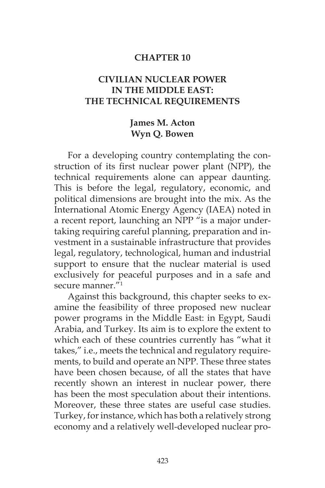#### **CHAPTER 10**

### **CIVILIAN NUCLEAR POWER IN THE MIDDLE EAST: THE TECHNICAL REQUIREMENTS**

### **James M. Acton Wyn Q. Bowen**

For a developing country contemplating the construction of its first nuclear power plant (NPP), the technical requirements alone can appear daunting. This is before the legal, regulatory, economic, and political dimensions are brought into the mix. As the International Atomic Energy Agency (IAEA) noted in a recent report, launching an NPP "is a major undertaking requiring careful planning, preparation and investment in a sustainable infrastructure that provides legal, regulatory, technological, human and industrial support to ensure that the nuclear material is used exclusively for peaceful purposes and in a safe and secure manner."<sup>1</sup>

Against this background, this chapter seeks to examine the feasibility of three proposed new nuclear power programs in the Middle East: in Egypt, Saudi Arabia, and Turkey. Its aim is to explore the extent to which each of these countries currently has "what it takes," i.e., meets the technical and regulatory requirements, to build and operate an NPP. These three states have been chosen because, of all the states that have recently shown an interest in nuclear power, there has been the most speculation about their intentions. Moreover, these three states are useful case studies. Turkey, for instance, which has both a relatively strong economy and a relatively well-developed nuclear pro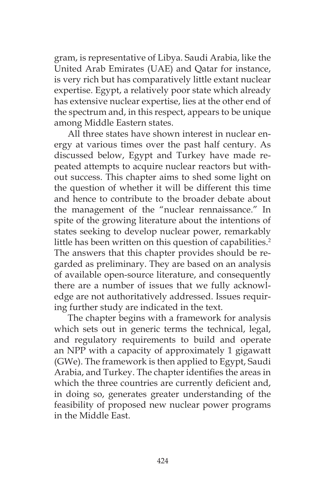gram, is representative of Libya. Saudi Arabia, like the United Arab Emirates (UAE) and Qatar for instance, is very rich but has comparatively little extant nuclear expertise. Egypt, a relatively poor state which already has extensive nuclear expertise, lies at the other end of the spectrum and, in this respect, appears to be unique among Middle Eastern states.

All three states have shown interest in nuclear energy at various times over the past half century. As discussed below, Egypt and Turkey have made repeated attempts to acquire nuclear reactors but without success. This chapter aims to shed some light on the question of whether it will be different this time and hence to contribute to the broader debate about the management of the "nuclear rennaissance." In spite of the growing literature about the intentions of states seeking to develop nuclear power, remarkably little has been written on this question of capabilities.<sup>2</sup> The answers that this chapter provides should be regarded as preliminary. They are based on an analysis of available open-source literature, and consequently there are a number of issues that we fully acknowledge are not authoritatively addressed. Issues requiring further study are indicated in the text.

The chapter begins with a framework for analysis which sets out in generic terms the technical, legal, and regulatory requirements to build and operate an NPP with a capacity of approximately 1 gigawatt (GWe). The framework is then applied to Egypt, Saudi Arabia, and Turkey. The chapter identifies the areas in which the three countries are currently deficient and, in doing so, generates greater understanding of the feasibility of proposed new nuclear power programs in the Middle East.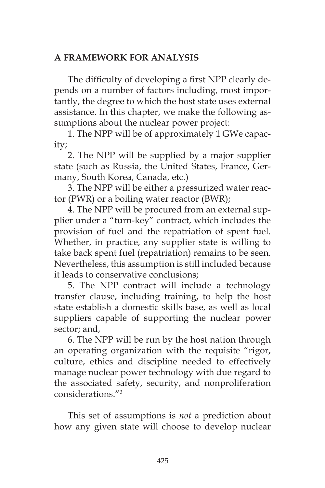### **A FRAMEWORK FOR ANALYSIS**

The difficulty of developing a first NPP clearly depends on a number of factors including, most importantly, the degree to which the host state uses external assistance. In this chapter, we make the following assumptions about the nuclear power project:

1. The NPP will be of approximately 1 GWe capacity;

2. The NPP will be supplied by a major supplier state (such as Russia, the United States, France, Germany, South Korea, Canada, etc.)

3. The NPP will be either a pressurized water reactor (PWR) or a boiling water reactor (BWR);

4. The NPP will be procured from an external supplier under a "turn-key" contract, which includes the provision of fuel and the repatriation of spent fuel. Whether, in practice, any supplier state is willing to take back spent fuel (repatriation) remains to be seen. Nevertheless, this assumption is still included because it leads to conservative conclusions;

5. The NPP contract will include a technology transfer clause, including training, to help the host state establish a domestic skills base, as well as local suppliers capable of supporting the nuclear power sector; and,

6. The NPP will be run by the host nation through an operating organization with the requisite "rigor, culture, ethics and discipline needed to effectively manage nuclear power technology with due regard to the associated safety, security, and nonproliferation considerations."3

This set of assumptions is *not* a prediction about how any given state will choose to develop nuclear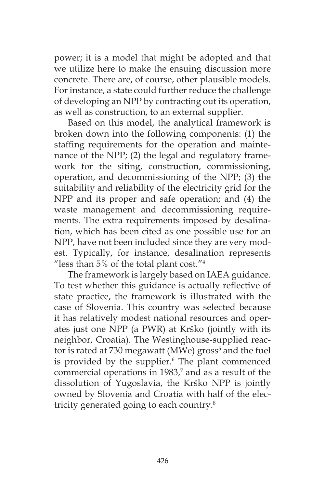power; it is a model that might be adopted and that we utilize here to make the ensuing discussion more concrete. There are, of course, other plausible models. For instance, a state could further reduce the challenge of developing an NPP by contracting out its operation, as well as construction, to an external supplier.

Based on this model, the analytical framework is broken down into the following components: (1) the staffing requirements for the operation and maintenance of the NPP; (2) the legal and regulatory framework for the siting, construction, commissioning, operation, and decommissioning of the NPP; (3) the suitability and reliability of the electricity grid for the NPP and its proper and safe operation; and (4) the waste management and decommissioning requirements. The extra requirements imposed by desalination, which has been cited as one possible use for an NPP, have not been included since they are very modest. Typically, for instance, desalination represents "less than 5% of the total plant cost."4

The framework is largely based on IAEA guidance. To test whether this guidance is actually reflective of state practice, the framework is illustrated with the case of Slovenia. This country was selected because it has relatively modest national resources and operates just one NPP (a PWR) at Krško (jointly with its neighbor, Croatia). The Westinghouse-supplied reactor is rated at 730 megawatt (MWe) gross<sup>5</sup> and the fuel is provided by the supplier.<sup>6</sup> The plant commenced commercial operations in  $1983$ ,<sup>7</sup> and as a result of the dissolution of Yugoslavia, the Krško NPP is jointly owned by Slovenia and Croatia with half of the electricity generated going to each country.8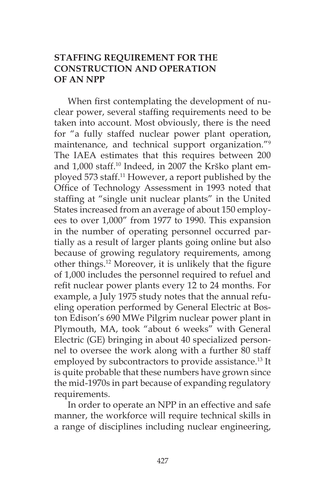### **STAFFING REQUIREMENT FOR THE CONSTRUCTION AND OPERATION OF AN NPP**

When first contemplating the development of nuclear power, several staffing requirements need to be taken into account. Most obviously, there is the need for "a fully staffed nuclear power plant operation, maintenance, and technical support organization."9 The IAEA estimates that this requires between 200 and 1,000 staff.<sup>10</sup> Indeed, in 2007 the Krško plant employed 573 staff.11 However, a report published by the Office of Technology Assessment in 1993 noted that staffing at "single unit nuclear plants" in the United States increased from an average of about 150 employees to over 1,000" from 1977 to 1990. This expansion in the number of operating personnel occurred partially as a result of larger plants going online but also because of growing regulatory requirements, among other things.12 Moreover, it is unlikely that the figure of 1,000 includes the personnel required to refuel and refit nuclear power plants every 12 to 24 months. For example, a July 1975 study notes that the annual refueling operation performed by General Electric at Boston Edison's 690 MWe Pilgrim nuclear power plant in Plymouth, MA, took "about 6 weeks" with General Electric (GE) bringing in about 40 specialized personnel to oversee the work along with a further 80 staff employed by subcontractors to provide assistance.<sup>13</sup> It is quite probable that these numbers have grown since the mid-1970s in part because of expanding regulatory requirements.

In order to operate an NPP in an effective and safe manner, the workforce will require technical skills in a range of disciplines including nuclear engineering,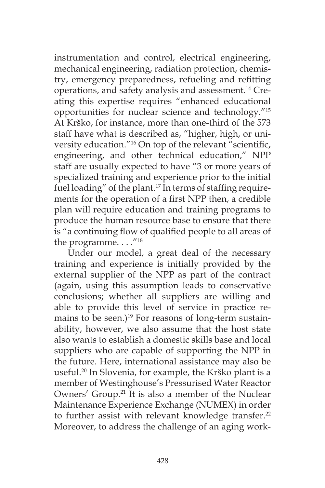instrumentation and control, electrical engineering, mechanical engineering, radiation protection, chemistry, emergency preparedness, refueling and refitting operations, and safety analysis and assessment.14 Creating this expertise requires "enhanced educational opportunities for nuclear science and technology."15 At Krško, for instance, more than one-third of the 573 staff have what is described as, "higher, high, or university education."16 On top of the relevant "scientific, engineering, and other technical education," NPP staff are usually expected to have "3 or more years of specialized training and experience prior to the initial fuel loading" of the plant.<sup>17</sup> In terms of staffing requirements for the operation of a first NPP then, a credible plan will require education and training programs to produce the human resource base to ensure that there is "a continuing flow of qualified people to all areas of the programme...."<sup>18</sup>

Under our model, a great deal of the necessary training and experience is initially provided by the external supplier of the NPP as part of the contract (again, using this assumption leads to conservative conclusions; whether all suppliers are willing and able to provide this level of service in practice remains to be seen.)<sup>19</sup> For reasons of long-term sustainability, however, we also assume that the host state also wants to establish a domestic skills base and local suppliers who are capable of supporting the NPP in the future. Here, international assistance may also be useful.20 In Slovenia, for example, the Krško plant is a member of Westinghouse's Pressurised Water Reactor Owners' Group.<sup>21</sup> It is also a member of the Nuclear Maintenance Experience Exchange (NUMEX) in order to further assist with relevant knowledge transfer.<sup>22</sup> Moreover, to address the challenge of an aging work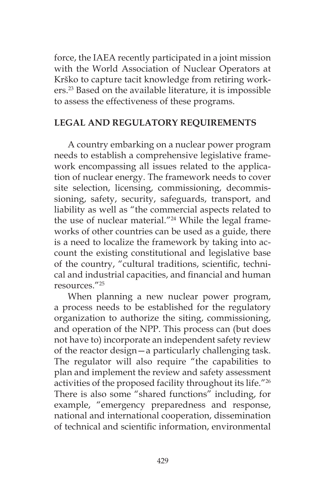force, the IAEA recently participated in a joint mission with the World Association of Nuclear Operators at Krško to capture tacit knowledge from retiring workers.23 Based on the available literature, it is impossible to assess the effectiveness of these programs.

### **LEGAL AND REGULATORY REQUIREMENTS**

A country embarking on a nuclear power program needs to establish a comprehensive legislative framework encompassing all issues related to the application of nuclear energy. The framework needs to cover site selection, licensing, commissioning, decommissioning, safety, security, safeguards, transport, and liability as well as "the commercial aspects related to the use of nuclear material."<sup>24</sup> While the legal frameworks of other countries can be used as a guide, there is a need to localize the framework by taking into account the existing constitutional and legislative base of the country, "cultural traditions, scientific, technical and industrial capacities, and financial and human resources."25

When planning a new nuclear power program, a process needs to be established for the regulatory organization to authorize the siting, commissioning, and operation of the NPP. This process can (but does not have to) incorporate an independent safety review of the reactor design—a particularly challenging task. The regulator will also require "the capabilities to plan and implement the review and safety assessment activities of the proposed facility throughout its life."26 There is also some "shared functions" including, for example, "emergency preparedness and response, national and international cooperation, dissemination of technical and scientific information, environmental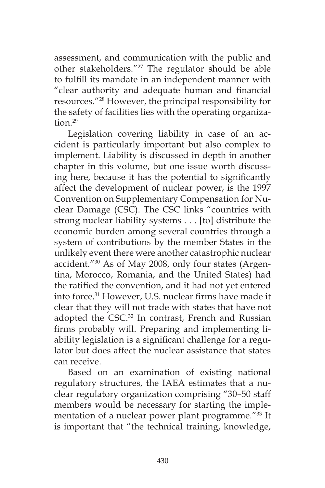assessment, and communication with the public and other stakeholders."27 The regulator should be able to fulfill its mandate in an independent manner with "clear authority and adequate human and financial resources."28 However, the principal responsibility for the safety of facilities lies with the operating organiza $t$ ion<sup>29</sup>

Legislation covering liability in case of an accident is particularly important but also complex to implement. Liability is discussed in depth in another chapter in this volume, but one issue worth discussing here, because it has the potential to significantly affect the development of nuclear power, is the 1997 Convention on Supplementary Compensation for Nuclear Damage (CSC). The CSC links "countries with strong nuclear liability systems . . . [to] distribute the economic burden among several countries through a system of contributions by the member States in the unlikely event there were another catastrophic nuclear accident."30 As of May 2008, only four states (Argentina, Morocco, Romania, and the United States) had the ratified the convention, and it had not yet entered into force.31 However, U.S. nuclear firms have made it clear that they will not trade with states that have not adopted the CSC.<sup>32</sup> In contrast, French and Russian firms probably will. Preparing and implementing liability legislation is a significant challenge for a regulator but does affect the nuclear assistance that states can receive.

Based on an examination of existing national regulatory structures, the IAEA estimates that a nuclear regulatory organization comprising "30–50 staff members would be necessary for starting the implementation of a nuclear power plant programme."<sup>33</sup> It is important that "the technical training, knowledge,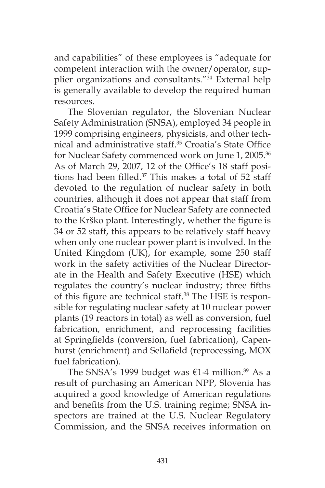and capabilities" of these employees is "adequate for competent interaction with the owner/operator, supplier organizations and consultants."34 External help is generally available to develop the required human resources.

The Slovenian regulator, the Slovenian Nuclear Safety Administration (SNSA), employed 34 people in 1999 comprising engineers, physicists, and other technical and administrative staff.35 Croatia's State Office for Nuclear Safety commenced work on June 1, 2005.<sup>36</sup> As of March 29, 2007, 12 of the Office's 18 staff positions had been filled.<sup>37</sup> This makes a total of 52 staff devoted to the regulation of nuclear safety in both countries, although it does not appear that staff from Croatia's State Office for Nuclear Safety are connected to the Krško plant. Interestingly, whether the figure is 34 or 52 staff, this appears to be relatively staff heavy when only one nuclear power plant is involved. In the United Kingdom (UK), for example, some 250 staff work in the safety activities of the Nuclear Directorate in the Health and Safety Executive (HSE) which regulates the country's nuclear industry; three fifths of this figure are technical staff.<sup>38</sup> The HSE is responsible for regulating nuclear safety at 10 nuclear power plants (19 reactors in total) as well as conversion, fuel fabrication, enrichment, and reprocessing facilities at Springfields (conversion, fuel fabrication), Capenhurst (enrichment) and Sellafield (reprocessing, MOX fuel fabrication).

The SNSA's 1999 budget was €1⋅4 million.<sup>39</sup> As a result of purchasing an American NPP, Slovenia has acquired a good knowledge of American regulations and benefits from the U.S. training regime; SNSA inspectors are trained at the U.S. Nuclear Regulatory Commission, and the SNSA receives information on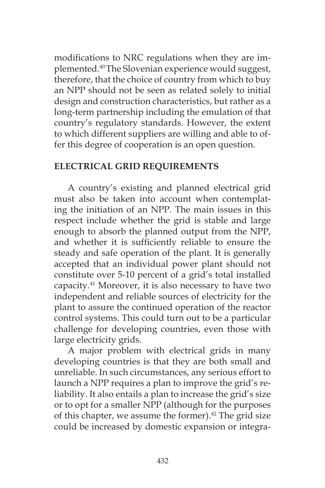modifications to NRC regulations when they are implemented.40 The Slovenian experience would suggest, therefore, that the choice of country from which to buy an NPP should not be seen as related solely to initial design and construction characteristics, but rather as a long-term partnership including the emulation of that country's regulatory standards. However, the extent to which different suppliers are willing and able to offer this degree of cooperation is an open question.

#### **ELECTRICAL GRID REQUIREMENTS**

A country's existing and planned electrical grid must also be taken into account when contemplating the initiation of an NPP. The main issues in this respect include whether the grid is stable and large enough to absorb the planned output from the NPP, and whether it is sufficiently reliable to ensure the steady and safe operation of the plant. It is generally accepted that an individual power plant should not constitute over 5-10 percent of a grid's total installed capacity.41 Moreover, it is also necessary to have two independent and reliable sources of electricity for the plant to assure the continued operation of the reactor control systems. This could turn out to be a particular challenge for developing countries, even those with large electricity grids.

A major problem with electrical grids in many developing countries is that they are both small and unreliable. In such circumstances, any serious effort to launch a NPP requires a plan to improve the grid's reliability. It also entails a plan to increase the grid's size or to opt for a smaller NPP (although for the purposes of this chapter, we assume the former). $42$  The grid size could be increased by domestic expansion or integra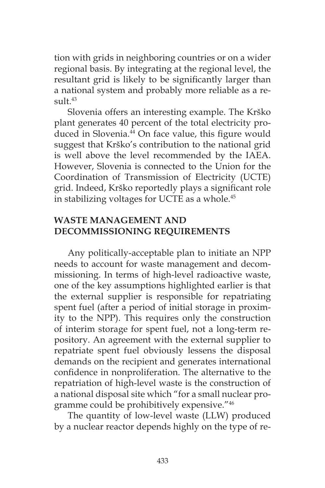tion with grids in neighboring countries or on a wider regional basis. By integrating at the regional level, the resultant grid is likely to be significantly larger than a national system and probably more reliable as a re $s$ <sub>11</sub> $\frac{1+43}{5}$ 

Slovenia offers an interesting example. The Krško plant generates 40 percent of the total electricity produced in Slovenia.<sup>44</sup> On face value, this figure would suggest that Krško's contribution to the national grid is well above the level recommended by the IAEA. However, Slovenia is connected to the Union for the Coordination of Transmission of Electricity (UCTE) grid. Indeed, Krško reportedly plays a significant role in stabilizing voltages for UCTE as a whole.<sup>45</sup>

### **WASTE MANAGEMENT AND DECOMMISSIONING REQUIREMENTS**

Any politically-acceptable plan to initiate an NPP needs to account for waste management and decommissioning. In terms of high-level radioactive waste, one of the key assumptions highlighted earlier is that the external supplier is responsible for repatriating spent fuel (after a period of initial storage in proximity to the NPP). This requires only the construction of interim storage for spent fuel, not a long-term repository. An agreement with the external supplier to repatriate spent fuel obviously lessens the disposal demands on the recipient and generates international confidence in nonproliferation. The alternative to the repatriation of high-level waste is the construction of a national disposal site which "for a small nuclear programme could be prohibitively expensive."46

The quantity of low-level waste (LLW) produced by a nuclear reactor depends highly on the type of re-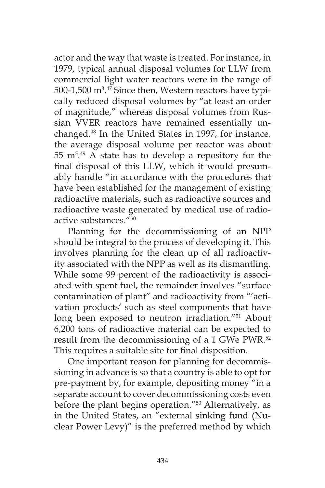actor and the way that waste is treated. For instance, in 1979, typical annual disposal volumes for LLW from commercial light water reactors were in the range of 500-1,500 m3 . 47 Since then, Western reactors have typically reduced disposal volumes by "at least an order of magnitude," whereas disposal volumes from Russian VVER reactors have remained essentially unchanged.48 In the United States in 1997, for instance, the average disposal volume per reactor was about  $55 \text{ m}^{3.49}$  A state has to develop a repository for the final disposal of this LLW, which it would presumably handle "in accordance with the procedures that have been established for the management of existing radioactive materials, such as radioactive sources and radioactive waste generated by medical use of radioactive substances."50

Planning for the decommissioning of an NPP should be integral to the process of developing it. This involves planning for the clean up of all radioactivity associated with the NPP as well as its dismantling. While some 99 percent of the radioactivity is associated with spent fuel, the remainder involves "surface contamination of plant" and radioactivity from "'activation products' such as steel components that have long been exposed to neutron irradiation."<sup>51</sup> About 6,200 tons of radioactive material can be expected to result from the decommissioning of a 1 GWe PWR.<sup>52</sup> This requires a suitable site for final disposition.

One important reason for planning for decommissioning in advance is so that a country is able to opt for pre-payment by, for example, depositing money "in a separate account to cover decommissioning costs even before the plant begins operation."<sup>53</sup> Alternatively, as in the United States, an "external sinking fund (Nuclear Power Levy)" is the preferred method by which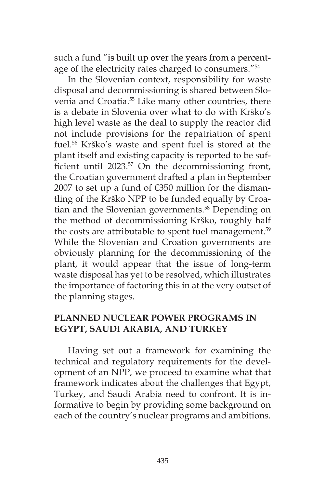such a fund "is built up over the years from a percentage of the electricity rates charged to consumers."<sup>54</sup>

In the Slovenian context, responsibility for waste disposal and decommissioning is shared between Slovenia and Croatia.55 Like many other countries, there is a debate in Slovenia over what to do with Krško's high level waste as the deal to supply the reactor did not include provisions for the repatriation of spent fuel.56 Krško's waste and spent fuel is stored at the plant itself and existing capacity is reported to be sufficient until 2023.57 On the decommissioning front, the Croatian government drafted a plan in September 2007 to set up a fund of €350 million for the dismantling of the Krško NPP to be funded equally by Croatian and the Slovenian governments.<sup>58</sup> Depending on the method of decommissioning Krško, roughly half the costs are attributable to spent fuel management.<sup>59</sup> While the Slovenian and Croation governments are obviously planning for the decommissioning of the plant, it would appear that the issue of long-term waste disposal has yet to be resolved, which illustrates the importance of factoring this in at the very outset of the planning stages.

### **PLANNED NUCLEAR POWER PROGRAMS IN EGYPT, SAUDI ARABIA, AND TURKEY**

Having set out a framework for examining the technical and regulatory requirements for the development of an NPP, we proceed to examine what that framework indicates about the challenges that Egypt, Turkey, and Saudi Arabia need to confront. It is informative to begin by providing some background on each of the country's nuclear programs and ambitions.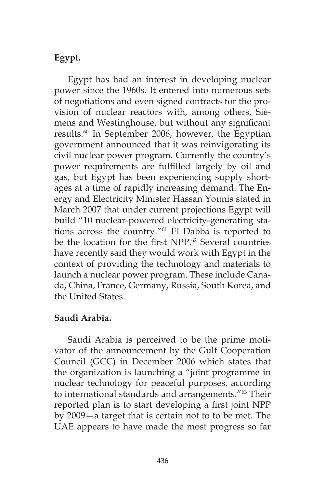### **Egypt.**

Egypt has had an interest in developing nuclear power since the 1960s. It entered into numerous sets of negotiations and even signed contracts for the provision of nuclear reactors with, among others, Siemens and Westinghouse, but without any significant results.60 In September 2006, however, the Egyptian government announced that it was reinvigorating its civil nuclear power program. Currently the country's power requirements are fulfilled largely by oil and gas, but Egypt has been experiencing supply shortages at a time of rapidly increasing demand. The Energy and Electricity Minister Hassan Younis stated in March 2007 that under current projections Egypt will build "10 nuclear-powered electricity-generating stations across the country."61 El Dabba is reported to be the location for the first NPP.<sup>62</sup> Several countries have recently said they would work with Egypt in the context of providing the technology and materials to launch a nuclear power program. These include Canada, China, France, Germany, Russia, South Korea, and the United States.

### **Saudi Arabia.**

Saudi Arabia is perceived to be the prime motivator of the announcement by the Gulf Cooperation Council (GCC) in December 2006 which states that the organization is launching a "joint programme in nuclear technology for peaceful purposes, according to international standards and arrangements."<sup>63</sup> Their reported plan is to start developing a first joint NPP by 2009—a target that is certain not to to be met. The UAE appears to have made the most progress so far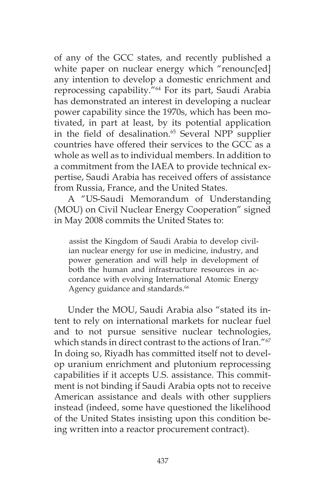of any of the GCC states, and recently published a white paper on nuclear energy which "renounc[ed] any intention to develop a domestic enrichment and reprocessing capability."64 For its part, Saudi Arabia has demonstrated an interest in developing a nuclear power capability since the 1970s, which has been motivated, in part at least, by its potential application in the field of desalination.<sup>65</sup> Several NPP supplier countries have offered their services to the GCC as a whole as well as to individual members. In addition to a commitment from the IAEA to provide technical expertise, Saudi Arabia has received offers of assistance from Russia, France, and the United States.

A "US-Saudi Memorandum of Understanding (MOU) on Civil Nuclear Energy Cooperation" signed in May 2008 commits the United States to:

assist the Kingdom of Saudi Arabia to develop civilian nuclear energy for use in medicine, industry, and power generation and will help in development of both the human and infrastructure resources in accordance with evolving International Atomic Energy Agency guidance and standards.<sup>66</sup>

Under the MOU, Saudi Arabia also "stated its intent to rely on international markets for nuclear fuel and to not pursue sensitive nuclear technologies, which stands in direct contrast to the actions of Iran."67 In doing so, Riyadh has committed itself not to develop uranium enrichment and plutonium reprocessing capabilities if it accepts U.S. assistance. This commitment is not binding if Saudi Arabia opts not to receive American assistance and deals with other suppliers instead (indeed, some have questioned the likelihood of the United States insisting upon this condition being written into a reactor procurement contract).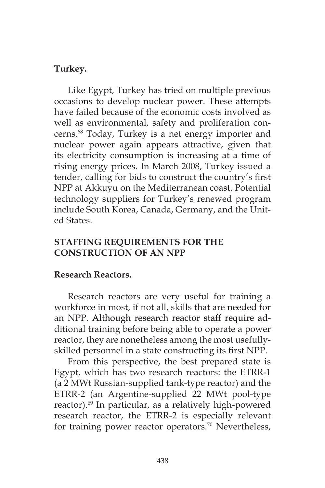#### **Turkey.**

Like Egypt, Turkey has tried on multiple previous occasions to develop nuclear power. These attempts have failed because of the economic costs involved as well as environmental, safety and proliferation concerns.68 Today, Turkey is a net energy importer and nuclear power again appears attractive, given that its electricity consumption is increasing at a time of rising energy prices. In March 2008, Turkey issued a tender, calling for bids to construct the country's first NPP at Akkuyu on the Mediterranean coast. Potential technology suppliers for Turkey's renewed program include South Korea, Canada, Germany, and the United States.

### **STAFFING REQUIREMENTS FOR THE CONSTRUCTION OF AN NPP**

### **Research Reactors.**

Research reactors are very useful for training a workforce in most, if not all, skills that are needed for an NPP. Although research reactor staff require additional training before being able to operate a power reactor, they are nonetheless among the most usefullyskilled personnel in a state constructing its first NPP.

From this perspective, the best prepared state is Egypt, which has two research reactors: the ETRR-1 (a 2 MWt Russian-supplied tank-type reactor) and the ETRR-2 (an Argentine-supplied 22 MWt pool-type reactor).<sup>69</sup> In particular, as a relatively high-powered research reactor, the ETRR-2 is especially relevant for training power reactor operators.<sup>70</sup> Nevertheless,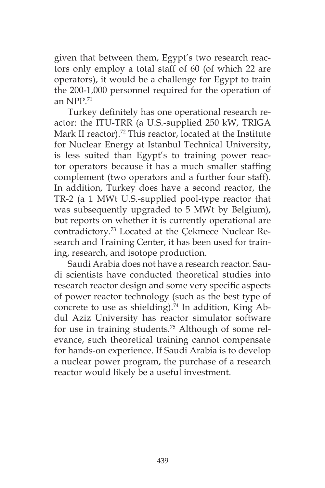given that between them, Egypt's two research reactors only employ a total staff of 60 (of which 22 are operators), it would be a challenge for Egypt to train the 200-1,000 personnel required for the operation of an NPP<sup>71</sup>

Turkey definitely has one operational research reactor: the ITU-TRR (a U.S.-supplied 250 kW, TRIGA Mark II reactor).<sup>72</sup> This reactor, located at the Institute for Nuclear Energy at Istanbul Technical University, is less suited than Egypt's to training power reactor operators because it has a much smaller staffing complement (two operators and a further four staff). In addition, Turkey does have a second reactor, the TR-2 (a 1 MWt U.S.-supplied pool-type reactor that was subsequently upgraded to 5 MWt by Belgium), but reports on whether it is currently operational are contradictory.73 Located at the Çekmece Nuclear Research and Training Center, it has been used for training, research, and isotope production.

Saudi Arabia does not have a research reactor. Saudi scientists have conducted theoretical studies into research reactor design and some very specific aspects of power reactor technology (such as the best type of concrete to use as shielding).<sup>74</sup> In addition, King Abdul Aziz University has reactor simulator software for use in training students.75 Although of some relevance, such theoretical training cannot compensate for hands-on experience. If Saudi Arabia is to develop a nuclear power program, the purchase of a research reactor would likely be a useful investment.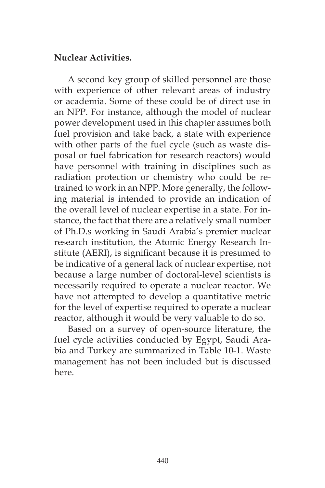#### **Nuclear Activities.**

A second key group of skilled personnel are those with experience of other relevant areas of industry or academia. Some of these could be of direct use in an NPP. For instance, although the model of nuclear power development used in this chapter assumes both fuel provision and take back, a state with experience with other parts of the fuel cycle (such as waste disposal or fuel fabrication for research reactors) would have personnel with training in disciplines such as radiation protection or chemistry who could be retrained to work in an NPP. More generally, the following material is intended to provide an indication of the overall level of nuclear expertise in a state. For instance, the fact that there are a relatively small number of Ph.D.s working in Saudi Arabia's premier nuclear research institution, the Atomic Energy Research Institute (AERI), is significant because it is presumed to be indicative of a general lack of nuclear expertise, not because a large number of doctoral-level scientists is necessarily required to operate a nuclear reactor. We have not attempted to develop a quantitative metric for the level of expertise required to operate a nuclear reactor, although it would be very valuable to do so.

Based on a survey of open-source literature, the fuel cycle activities conducted by Egypt, Saudi Arabia and Turkey are summarized in Table 10-1. Waste management has not been included but is discussed here.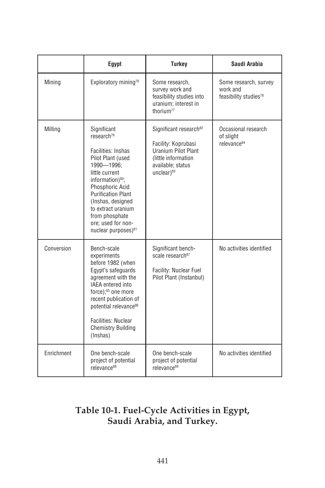|            | Egypt                                                                                                                                                                                                                                                                                                                  | <b>Turkey</b>                                                                                                                                          | Saudi Arabia                                                           |  |
|------------|------------------------------------------------------------------------------------------------------------------------------------------------------------------------------------------------------------------------------------------------------------------------------------------------------------------------|--------------------------------------------------------------------------------------------------------------------------------------------------------|------------------------------------------------------------------------|--|
| Mining     | Exploratory mining <sup>76</sup>                                                                                                                                                                                                                                                                                       | Some research,<br>survey work and<br>feasibility studies into<br>uranium; interest in<br>thorium <sup>77</sup>                                         | Some research, survey<br>work and<br>feasibility studies <sup>78</sup> |  |
| Milling    | Significant<br>research <sup>79</sup><br>Facilities: Inshas<br>Pilot Plant (used<br>1990-1996;<br>little current<br>information) <sup>80</sup> ;<br>Phosphoric Acid<br><b>Purification Plant</b><br>(Inshas, designed<br>to extract uranium<br>from phosphate<br>ore; used for non-<br>nuclear purposes) <sup>81</sup> | Significant research <sup>82</sup><br>Facility: Koprubasi<br>Uranium Pilot Plant<br>(little information<br>available; status<br>unclear) <sup>83</sup> | Occasional research<br>of slight<br>relevance <sup>84</sup>            |  |
| Conversion | Bench-scale<br>experiments<br>before 1982 (when<br>Egypt's safeguards<br>agreement with the<br>IAEA entered into<br>force); <sup>85</sup> one more<br>recent publication of<br>potential relevance <sup>86</sup><br><b>Facilities: Nuclear</b><br><b>Chemistry Building</b><br>(Inshas)                                | Significant bench-<br>scale research <sup>87</sup><br>Facility: Nuclear Fuel<br>Pilot Plant (Instanbul)                                                | No activities identified                                               |  |
| Enrichment | One bench-scale<br>project of potential<br>relevance <sup>88</sup>                                                                                                                                                                                                                                                     | One bench-scale<br>project of potential<br>relevance <sup>89</sup>                                                                                     | No activities identified                                               |  |

### **Table 10-1. Fuel-Cycle Activities in Egypt, Saudi Arabia, and Turkey.**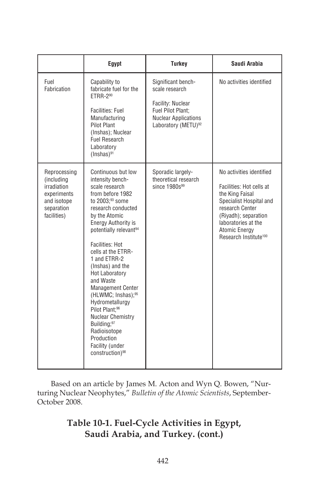|                                                                                                      | Egypt                                                                                                                                                                                                                                                                                                                                                                                                                                                                                                                                                              | <b>Turkey</b>                                                                                                                                    | Saudi Arabia                                                                                                                                                                                                                      |
|------------------------------------------------------------------------------------------------------|--------------------------------------------------------------------------------------------------------------------------------------------------------------------------------------------------------------------------------------------------------------------------------------------------------------------------------------------------------------------------------------------------------------------------------------------------------------------------------------------------------------------------------------------------------------------|--------------------------------------------------------------------------------------------------------------------------------------------------|-----------------------------------------------------------------------------------------------------------------------------------------------------------------------------------------------------------------------------------|
| Fuel<br>Fabrication                                                                                  | Capability to<br>fabricate fuel for the<br>$ETRR-290$<br><b>Facilities: Fuel</b><br>Manufacturing<br><b>Pilot Plant</b><br>(Inshas); Nuclear<br><b>Fuel Research</b><br>Laboratory<br>$(Inshas)^{91}$                                                                                                                                                                                                                                                                                                                                                              | Significant bench-<br>scale research<br>Facility: Nuclear<br>Fuel Pilot Plant;<br><b>Nuclear Applications</b><br>Laboratory (METU) <sup>92</sup> | No activities identified                                                                                                                                                                                                          |
| Reprocessing<br>(including<br>irradiation<br>experiments<br>and isotope<br>separation<br>facilities) | Continuous but low<br>intensity bench-<br>scale research<br>from before 1982<br>to 2003; <sup>93</sup> some<br>research conducted<br>by the Atomic<br><b>Energy Authority is</b><br>potentially relevant <sup>94</sup><br><b>Facilities: Hot</b><br>cells at the ETRR-<br>1 and ETRR-2<br>(Inshas) and the<br><b>Hot Laboratory</b><br>and Waste<br><b>Management Center</b><br>(HLWMC; Inshas);95<br>Hydrometallurgy<br>Pilot Plant;96<br><b>Nuclear Chemistry</b><br>Building;97<br>Radioisotope<br>Production<br>Facility (under<br>construction) <sup>98</sup> | Sporadic largely-<br>theoretical research<br>since $1980s99$                                                                                     | No activities identified<br>Facilities: Hot cells at<br>the King Faisal<br>Specialist Hospital and<br>research Center<br>(Riyadh); separation<br>laboratories at the<br><b>Atomic Energy</b><br>Research Institute <sup>100</sup> |

Based on an article by James M. Acton and Wyn Q. Bowen, "Nurturing Nuclear Neophytes," *Bulletin of the Atomic Scientists*, September-October 2008.

# **Table 10-1. Fuel-Cycle Activities in Egypt, Saudi Arabia, and Turkey. (cont.)**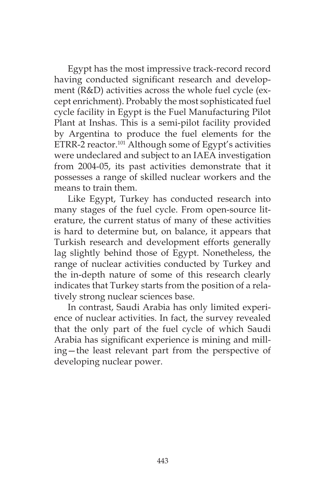Egypt has the most impressive track-record record having conducted significant research and development (R&D) activities across the whole fuel cycle (except enrichment). Probably the most sophisticated fuel cycle facility in Egypt is the Fuel Manufacturing Pilot Plant at Inshas. This is a semi-pilot facility provided by Argentina to produce the fuel elements for the ETRR-2 reactor.<sup>101</sup> Although some of Egypt's activities were undeclared and subject to an IAEA investigation from 2004-05, its past activities demonstrate that it possesses a range of skilled nuclear workers and the means to train them.

Like Egypt, Turkey has conducted research into many stages of the fuel cycle. From open-source literature, the current status of many of these activities is hard to determine but, on balance, it appears that Turkish research and development efforts generally lag slightly behind those of Egypt. Nonetheless, the range of nuclear activities conducted by Turkey and the in-depth nature of some of this research clearly indicates that Turkey starts from the position of a relatively strong nuclear sciences base.

In contrast, Saudi Arabia has only limited experience of nuclear activities. In fact, the survey revealed that the only part of the fuel cycle of which Saudi Arabia has significant experience is mining and milling—the least relevant part from the perspective of developing nuclear power.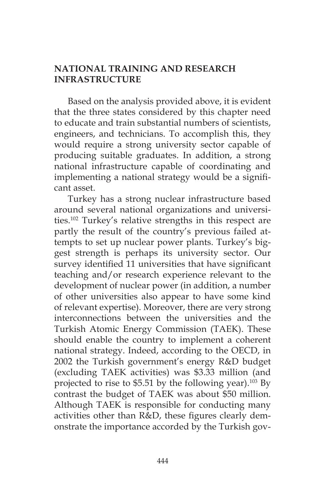### **NATIONAL TRAINING AND RESEARCH INFRASTRUCTURE**

Based on the analysis provided above, it is evident that the three states considered by this chapter need to educate and train substantial numbers of scientists, engineers, and technicians. To accomplish this, they would require a strong university sector capable of producing suitable graduates. In addition, a strong national infrastructure capable of coordinating and implementing a national strategy would be a significant asset.

Turkey has a strong nuclear infrastructure based around several national organizations and universities.102 Turkey's relative strengths in this respect are partly the result of the country's previous failed attempts to set up nuclear power plants. Turkey's biggest strength is perhaps its university sector. Our survey identified 11 universities that have significant teaching and/or research experience relevant to the development of nuclear power (in addition, a number of other universities also appear to have some kind of relevant expertise). Moreover, there are very strong interconnections between the universities and the Turkish Atomic Energy Commission (TAEK). These should enable the country to implement a coherent national strategy. Indeed, according to the OECD, in 2002 the Turkish government's energy R&D budget (excluding TAEK activities) was \$3.33 million (and projected to rise to \$5.51 by the following year).<sup>103</sup> By contrast the budget of TAEK was about \$50 million. Although TAEK is responsible for conducting many activities other than R&D, these figures clearly demonstrate the importance accorded by the Turkish gov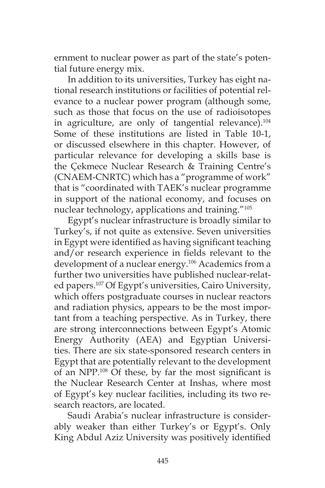ernment to nuclear power as part of the state's potential future energy mix.

In addition to its universities, Turkey has eight national research institutions or facilities of potential relevance to a nuclear power program (although some, such as those that focus on the use of radioisotopes in agriculture, are only of tangential relevance).<sup>104</sup> Some of these institutions are listed in Table 10-1, or discussed elsewhere in this chapter. However, of particular relevance for developing a skills base is the Çekmece Nuclear Research & Training Centre's (CNAEM-CNRTC) which has a "programme of work" that is "coordinated with TAEK's nuclear programme in support of the national economy, and focuses on nuclear technology, applications and training."105

Egypt's nuclear infrastructure is broadly similar to Turkey's, if not quite as extensive. Seven universities in Egypt were identified as having significant teaching and/or research experience in fields relevant to the development of a nuclear energy.<sup>106</sup> Academics from a further two universities have published nuclear-related papers.107 Of Egypt's universities, Cairo University, which offers postgraduate courses in nuclear reactors and radiation physics, appears to be the most important from a teaching perspective. As in Turkey, there are strong interconnections between Egypt's Atomic Energy Authority (AEA) and Egyptian Universities. There are six state-sponsored research centers in Egypt that are potentially relevant to the development of an NPP.108 Of these, by far the most significant is the Nuclear Research Center at Inshas, where most of Egypt's key nuclear facilities, including its two research reactors, are located.

Saudi Arabia's nuclear infrastructure is considerably weaker than either Turkey's or Egypt's. Only King Abdul Aziz University was positively identified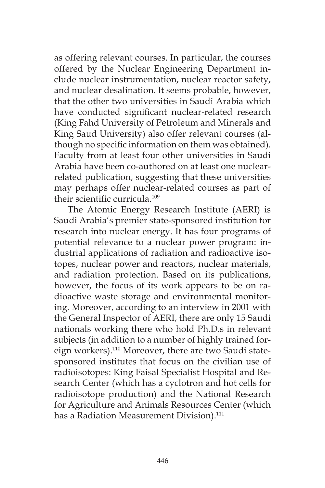as offering relevant courses. In particular, the courses offered by the Nuclear Engineering Department include nuclear instrumentation, nuclear reactor safety, and nuclear desalination. It seems probable, however, that the other two universities in Saudi Arabia which have conducted significant nuclear-related research (King Fahd University of Petroleum and Minerals and King Saud University) also offer relevant courses (although no specific information on them was obtained). Faculty from at least four other universities in Saudi Arabia have been co-authored on at least one nuclearrelated publication, suggesting that these universities may perhaps offer nuclear-related courses as part of their scientific curricula.109

The Atomic Energy Research Institute (AERI) is Saudi Arabia's premier state-sponsored institution for research into nuclear energy. It has four programs of potential relevance to a nuclear power program: industrial applications of radiation and radioactive isotopes, nuclear power and reactors, nuclear materials, and radiation protection. Based on its publications, however, the focus of its work appears to be on radioactive waste storage and environmental monitoring. Moreover, according to an interview in 2001 with the General Inspector of AERI, there are only 15 Saudi nationals working there who hold Ph.D.s in relevant subjects (in addition to a number of highly trained foreign workers).<sup>110</sup> Moreover, there are two Saudi statesponsored institutes that focus on the civilian use of radioisotopes: King Faisal Specialist Hospital and Research Center (which has a cyclotron and hot cells for radioisotope production) and the National Research for Agriculture and Animals Resources Center (which has a Radiation Measurement Division).<sup>111</sup>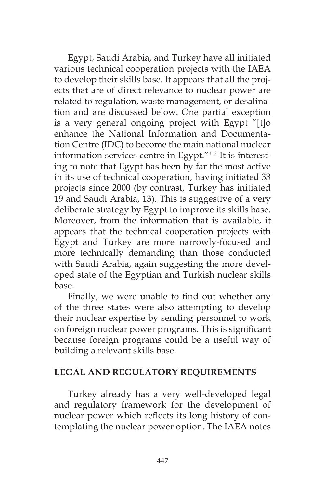Egypt, Saudi Arabia, and Turkey have all initiated various technical cooperation projects with the IAEA to develop their skills base. It appears that all the projects that are of direct relevance to nuclear power are related to regulation, waste management, or desalination and are discussed below. One partial exception is a very general ongoing project with Egypt "[t]o enhance the National Information and Documentation Centre (IDC) to become the main national nuclear information services centre in Egypt."112 It is interesting to note that Egypt has been by far the most active in its use of technical cooperation, having initiated 33 projects since 2000 (by contrast, Turkey has initiated 19 and Saudi Arabia, 13). This is suggestive of a very deliberate strategy by Egypt to improve its skills base. Moreover, from the information that is available, it appears that the technical cooperation projects with Egypt and Turkey are more narrowly-focused and more technically demanding than those conducted with Saudi Arabia, again suggesting the more developed state of the Egyptian and Turkish nuclear skills base.

Finally, we were unable to find out whether any of the three states were also attempting to develop their nuclear expertise by sending personnel to work on foreign nuclear power programs. This is significant because foreign programs could be a useful way of building a relevant skills base.

### **LEGAL AND REGULATORY REQUIREMENTS**

Turkey already has a very well-developed legal and regulatory framework for the development of nuclear power which reflects its long history of contemplating the nuclear power option. The IAEA notes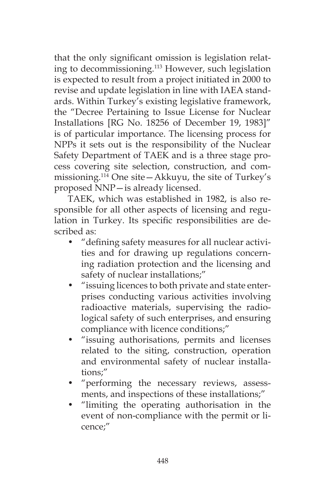that the only significant omission is legislation relating to decommissioning.113 However, such legislation is expected to result from a project initiated in 2000 to revise and update legislation in line with IAEA standards. Within Turkey's existing legislative framework, the "Decree Pertaining to Issue License for Nuclear Installations [RG No. 18256 of December 19, 1983]" is of particular importance. The licensing process for NPPs it sets out is the responsibility of the Nuclear Safety Department of TAEK and is a three stage process covering site selection, construction, and commissioning.114 One site—Akkuyu, the site of Turkey's proposed NNP—is already licensed.

TAEK, which was established in 1982, is also responsible for all other aspects of licensing and regulation in Turkey. Its specific responsibilities are described as:

- "defining safety measures for all nuclear activities and for drawing up regulations concerning radiation protection and the licensing and safety of nuclear installations;"
- "issuing licences to both private and state enterprises conducting various activities involving radioactive materials, supervising the radiological safety of such enterprises, and ensuring compliance with licence conditions;"
- "issuing authorisations, permits and licenses related to the siting, construction, operation and environmental safety of nuclear installations;"
- "performing the necessary reviews, assessments, and inspections of these installations;"
- "limiting the operating authorisation in the event of non-compliance with the permit or licence;"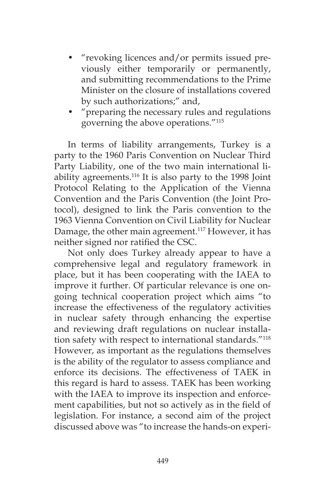- "revoking licences and/or permits issued previously either temporarily or permanently, and submitting recommendations to the Prime Minister on the closure of installations covered by such authorizations;" and,
- "preparing the necessary rules and regulations governing the above operations."115

In terms of liability arrangements, Turkey is a party to the 1960 Paris Convention on Nuclear Third Party Liability, one of the two main international liability agreements.<sup>116</sup> It is also party to the 1998 Joint Protocol Relating to the Application of the Vienna Convention and the Paris Convention (the Joint Protocol), designed to link the Paris convention to the 1963 Vienna Convention on Civil Liability for Nuclear Damage, the other main agreement.<sup>117</sup> However, it has neither signed nor ratified the CSC.

Not only does Turkey already appear to have a comprehensive legal and regulatory framework in place, but it has been cooperating with the IAEA to improve it further. Of particular relevance is one ongoing technical cooperation project which aims "to increase the effectiveness of the regulatory activities in nuclear safety through enhancing the expertise and reviewing draft regulations on nuclear installation safety with respect to international standards."118 However, as important as the regulations themselves is the ability of the regulator to assess compliance and enforce its decisions. The effectiveness of TAEK in this regard is hard to assess. TAEK has been working with the IAEA to improve its inspection and enforcement capabilities, but not so actively as in the field of legislation. For instance, a second aim of the project discussed above was "to increase the hands-on experi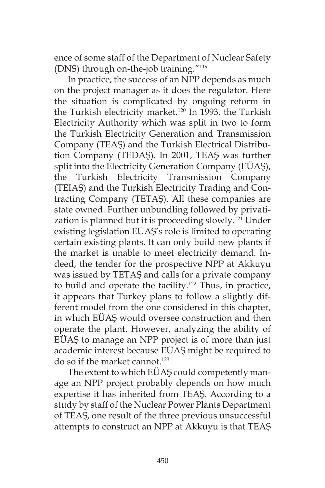ence of some staff of the Department of Nuclear Safety (DNS) through on-the-job training."119

In practice, the success of an NPP depends as much on the project manager as it does the regulator. Here the situation is complicated by ongoing reform in the Turkish electricity market.<sup>120</sup> In 1993, the Turkish Electricity Authority which was split in two to form the Turkish Electricity Generation and Transmission Company (TEAŞ) and the Turkish Electrical Distribution Company (TEDAŞ). In 2001, TEAŞ was further split into the Electricity Generation Company (EÜAŞ), the Turkish Electricity Transmission Company (TEIAŞ) and the Turkish Electricity Trading and Contracting Company (TETAŞ). All these companies are state owned. Further unbundling followed by privatization is planned but it is proceeding slowly.121 Under existing legislation EÜAŞ's role is limited to operating certain existing plants. It can only build new plants if the market is unable to meet electricity demand. Indeed, the tender for the prospective NPP at Akkuyu was issued by TETAŞ and calls for a private company to build and operate the facility.<sup>122</sup> Thus, in practice, it appears that Turkey plans to follow a slightly different model from the one considered in this chapter, in which EÜAŞ would oversee construction and then operate the plant. However, analyzing the ability of EÜAŞ to manage an NPP project is of more than just academic interest because EÜAŞ might be required to do so if the market cannot.<sup>123</sup>

The extent to which EÜAŞ could competently manage an NPP project probably depends on how much expertise it has inherited from TEAŞ. According to a study by staff of the Nuclear Power Plants Department of TEAŞ, one result of the three previous unsuccessful attempts to construct an NPP at Akkuyu is that TEAŞ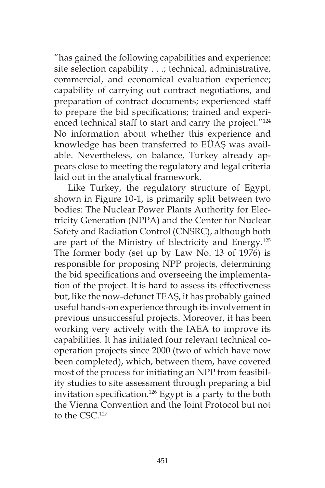"has gained the following capabilities and experience: site selection capability . . .; technical, administrative, commercial, and economical evaluation experience; capability of carrying out contract negotiations, and preparation of contract documents; experienced staff to prepare the bid specifications; trained and experienced technical staff to start and carry the project."<sup>124</sup> No information about whether this experience and knowledge has been transferred to EÜAŞ was available. Nevertheless, on balance, Turkey already appears close to meeting the regulatory and legal criteria laid out in the analytical framework.

Like Turkey, the regulatory structure of Egypt, shown in Figure 10-1, is primarily split between two bodies: The Nuclear Power Plants Authority for Electricity Generation (NPPA) and the Center for Nuclear Safety and Radiation Control (CNSRC), although both are part of the Ministry of Electricity and Energy.<sup>125</sup> The former body (set up by Law No. 13 of 1976) is responsible for proposing NPP projects, determining the bid specifications and overseeing the implementation of the project. It is hard to assess its effectiveness but, like the now-defunct TEAŞ, it has probably gained useful hands-on experience through its involvement in previous unsuccessful projects. Moreover, it has been working very actively with the IAEA to improve its capabilities. It has initiated four relevant technical cooperation projects since 2000 (two of which have now been completed), which, between them, have covered most of the process for initiating an NPP from feasibility studies to site assessment through preparing a bid invitation specification.<sup>126</sup> Egypt is a party to the both the Vienna Convention and the Joint Protocol but not to the CSC.<sup>127</sup>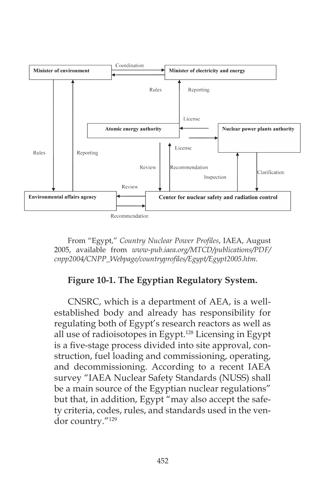

From "Egypt," *Country Nuclear Power Profiles*, IAEA, August 2005, available from *www-pub.iaea.org/MTCD/publications/PDF/ cnpp2004/CNPP\_Webpage/countryprofiles/Egypt/Egypt2005.htm*.

### **Figure 10-1. The Egyptian Regulatory System.**

CNSRC, which is a department of AEA, is a wellestablished body and already has responsibility for regulating both of Egypt's research reactors as well as all use of radioisotopes in Egypt.128 Licensing in Egypt is a five-stage process divided into site approval, construction, fuel loading and commissioning, operating, and decommissioning. According to a recent IAEA survey "IAEA Nuclear Safety Standards (NUSS) shall be a main source of the Egyptian nuclear regulations" but that, in addition, Egypt "may also accept the safety criteria, codes, rules, and standards used in the vendor country."129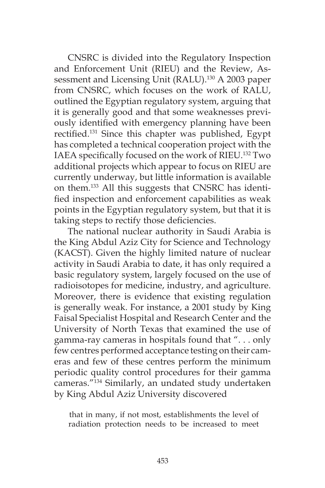CNSRC is divided into the Regulatory Inspection and Enforcement Unit (RIEU) and the Review, Assessment and Licensing Unit (RALU).<sup>130</sup> A 2003 paper from CNSRC, which focuses on the work of RALU, outlined the Egyptian regulatory system, arguing that it is generally good and that some weaknesses previously identified with emergency planning have been rectified.131 Since this chapter was published, Egypt has completed a technical cooperation project with the IAEA specifically focused on the work of RIEU.132 Two additional projects which appear to focus on RIEU are currently underway, but little information is available on them.133 All this suggests that CNSRC has identified inspection and enforcement capabilities as weak points in the Egyptian regulatory system, but that it is taking steps to rectify those deficiencies.

The national nuclear authority in Saudi Arabia is the King Abdul Aziz City for Science and Technology (KACST). Given the highly limited nature of nuclear activity in Saudi Arabia to date, it has only required a basic regulatory system, largely focused on the use of radioisotopes for medicine, industry, and agriculture. Moreover, there is evidence that existing regulation is generally weak. For instance, a 2001 study by King Faisal Specialist Hospital and Research Center and the University of North Texas that examined the use of gamma-ray cameras in hospitals found that ". . . only few centres performed acceptance testing on their cameras and few of these centres perform the minimum periodic quality control procedures for their gamma cameras."134 Similarly, an undated study undertaken by King Abdul Aziz University discovered

that in many, if not most, establishments the level of radiation protection needs to be increased to meet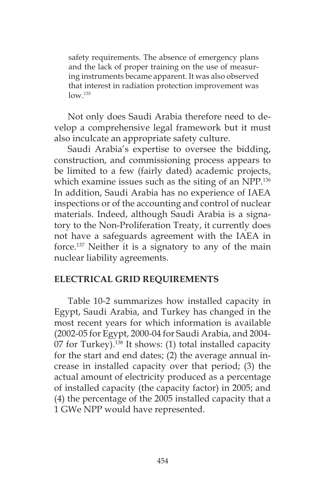safety requirements. The absence of emergency plans and the lack of proper training on the use of measuring instruments became apparent. It was also observed that interest in radiation protection improvement was  $low.<sup>135</sup>$ 

Not only does Saudi Arabia therefore need to develop a comprehensive legal framework but it must also inculcate an appropriate safety culture.

Saudi Arabia's expertise to oversee the bidding, construction, and commissioning process appears to be limited to a few (fairly dated) academic projects, which examine issues such as the siting of an NPP.<sup>136</sup> In addition, Saudi Arabia has no experience of IAEA inspections or of the accounting and control of nuclear materials. Indeed, although Saudi Arabia is a signatory to the Non-Proliferation Treaty, it currently does not have a safeguards agreement with the IAEA in force.137 Neither it is a signatory to any of the main nuclear liability agreements.

#### **ELECTRICAL GRID REQUIREMENTS**

Table 10-2 summarizes how installed capacity in Egypt, Saudi Arabia, and Turkey has changed in the most recent years for which information is available (2002-05 for Egypt, 2000-04 for Saudi Arabia, and 2004- 07 for Turkey). $138$  It shows: (1) total installed capacity for the start and end dates; (2) the average annual increase in installed capacity over that period; (3) the actual amount of electricity produced as a percentage of installed capacity (the capacity factor) in 2005; and (4) the percentage of the 2005 installed capacity that a 1 GWe NPP would have represented.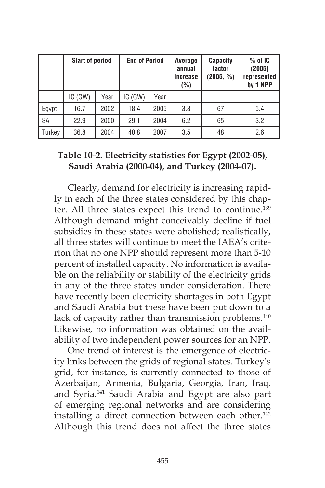|        | <b>Start of period</b> |      | <b>End of Period</b> |      | Average<br>annual<br>increase<br>(%) | <b>Capacity</b><br>factor<br>(2005, %) | $%$ of IC<br>(2005)<br>represented<br>by 1 NPP |
|--------|------------------------|------|----------------------|------|--------------------------------------|----------------------------------------|------------------------------------------------|
|        | $IC$ (GW)              | Year | $IC$ (GW)            | Year |                                      |                                        |                                                |
| Egypt  | 16.7                   | 2002 | 18.4                 | 2005 | 3.3                                  | 67                                     | 5.4                                            |
| SA     | 22.9                   | 2000 | 29.1                 | 2004 | 6.2                                  | 65                                     | 3.2                                            |
| Turkey | 36.8                   | 2004 | 40.8                 | 2007 | 3.5                                  | 48                                     | 2.6                                            |

# **Table 10-2. Electricity statistics for Egypt (2002-05), Saudi Arabia (2000-04), and Turkey (2004-07).**

Clearly, demand for electricity is increasing rapidly in each of the three states considered by this chapter. All three states expect this trend to continue.139 Although demand might conceivably decline if fuel subsidies in these states were abolished; realistically, all three states will continue to meet the IAEA's criterion that no one NPP should represent more than 5-10 percent of installed capacity. No information is available on the reliability or stability of the electricity grids in any of the three states under consideration. There have recently been electricity shortages in both Egypt and Saudi Arabia but these have been put down to a lack of capacity rather than transmission problems.<sup>140</sup> Likewise, no information was obtained on the availability of two independent power sources for an NPP.

One trend of interest is the emergence of electricity links between the grids of regional states. Turkey's grid, for instance, is currently connected to those of Azerbaijan, Armenia, Bulgaria, Georgia, Iran, Iraq, and Syria.141 Saudi Arabia and Egypt are also part of emerging regional networks and are considering installing a direct connection between each other.<sup>142</sup> Although this trend does not affect the three states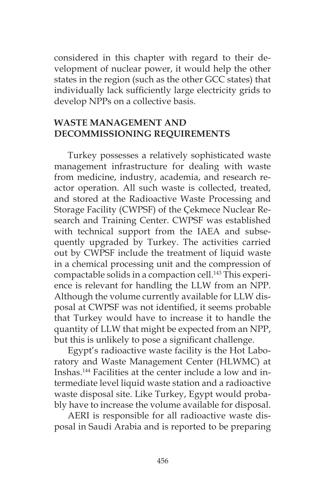considered in this chapter with regard to their development of nuclear power, it would help the other states in the region (such as the other GCC states) that individually lack sufficiently large electricity grids to develop NPPs on a collective basis.

### **WASTE MANAGEMENT AND DECOMMISSIONING REQUIREMENTS**

Turkey possesses a relatively sophisticated waste management infrastructure for dealing with waste from medicine, industry, academia, and research reactor operation. All such waste is collected, treated, and stored at the Radioactive Waste Processing and Storage Facility (CWPSF) of the Çekmece Nuclear Research and Training Center. CWPSF was established with technical support from the IAEA and subsequently upgraded by Turkey. The activities carried out by CWPSF include the treatment of liquid waste in a chemical processing unit and the compression of compactable solids in a compaction cell.<sup>143</sup> This experience is relevant for handling the LLW from an NPP. Although the volume currently available for LLW disposal at CWPSF was not identified, it seems probable that Turkey would have to increase it to handle the quantity of LLW that might be expected from an NPP, but this is unlikely to pose a significant challenge.

Egypt's radioactive waste facility is the Hot Laboratory and Waste Management Center (HLWMC) at Inshas.144 Facilities at the center include a low and intermediate level liquid waste station and a radioactive waste disposal site. Like Turkey, Egypt would probably have to increase the volume available for disposal.

AERI is responsible for all radioactive waste disposal in Saudi Arabia and is reported to be preparing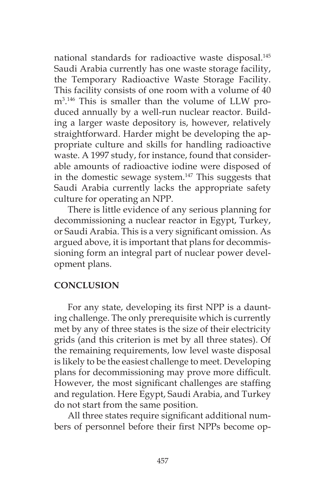national standards for radioactive waste disposal.145 Saudi Arabia currently has one waste storage facility, the Temporary Radioactive Waste Storage Facility. This facility consists of one room with a volume of 40 m3 . 146 This is smaller than the volume of LLW produced annually by a well-run nuclear reactor. Building a larger waste depository is, however, relatively straightforward. Harder might be developing the appropriate culture and skills for handling radioactive waste. A 1997 study, for instance, found that considerable amounts of radioactive iodine were disposed of in the domestic sewage system.<sup>147</sup> This suggests that Saudi Arabia currently lacks the appropriate safety culture for operating an NPP.

There is little evidence of any serious planning for decommissioning a nuclear reactor in Egypt, Turkey, or Saudi Arabia. This is a very significant omission. As argued above, it is important that plans for decommissioning form an integral part of nuclear power development plans.

### **CONCLUSION**

For any state, developing its first NPP is a daunting challenge. The only prerequisite which is currently met by any of three states is the size of their electricity grids (and this criterion is met by all three states). Of the remaining requirements, low level waste disposal is likely to be the easiest challenge to meet. Developing plans for decommissioning may prove more difficult. However, the most significant challenges are staffing and regulation. Here Egypt, Saudi Arabia, and Turkey do not start from the same position.

All three states require significant additional numbers of personnel before their first NPPs become op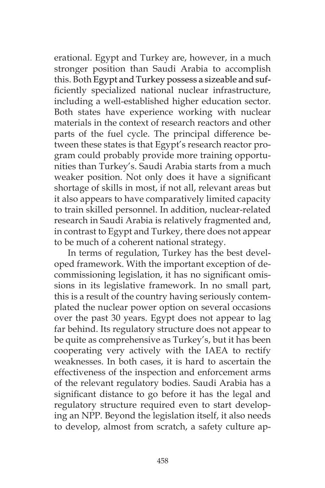erational. Egypt and Turkey are, however, in a much stronger position than Saudi Arabia to accomplish this. Both Egypt and Turkey possess a sizeable and sufficiently specialized national nuclear infrastructure, including a well-established higher education sector. Both states have experience working with nuclear materials in the context of research reactors and other parts of the fuel cycle. The principal difference between these states is that Egypt's research reactor program could probably provide more training opportunities than Turkey's. Saudi Arabia starts from a much weaker position. Not only does it have a significant shortage of skills in most, if not all, relevant areas but it also appears to have comparatively limited capacity to train skilled personnel. In addition, nuclear-related research in Saudi Arabia is relatively fragmented and, in contrast to Egypt and Turkey, there does not appear to be much of a coherent national strategy.

In terms of regulation, Turkey has the best developed framework. With the important exception of decommissioning legislation, it has no significant omissions in its legislative framework. In no small part, this is a result of the country having seriously contemplated the nuclear power option on several occasions over the past 30 years. Egypt does not appear to lag far behind. Its regulatory structure does not appear to be quite as comprehensive as Turkey's, but it has been cooperating very actively with the IAEA to rectify weaknesses. In both cases, it is hard to ascertain the effectiveness of the inspection and enforcement arms of the relevant regulatory bodies. Saudi Arabia has a significant distance to go before it has the legal and regulatory structure required even to start developing an NPP. Beyond the legislation itself, it also needs to develop, almost from scratch, a safety culture ap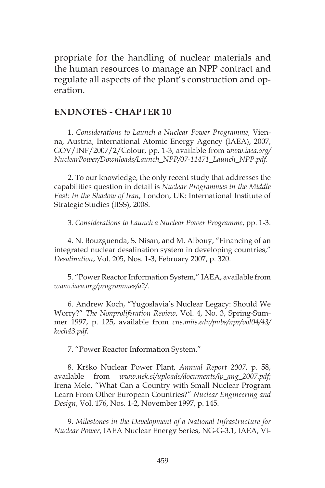propriate for the handling of nuclear materials and the human resources to manage an NPP contract and regulate all aspects of the plant's construction and operation.

#### **ENDNOTES - CHAPTER 10**

1. *Considerations to Launch a Nuclear Power Programme,* Vienna, Austria, International Atomic Energy Agency (IAEA), 2007, GOV/INF/2007/2/Colour, pp. 1-3, available from *www.iaea.org/ NuclearPower/Downloads/Launch\_NPP/07-11471\_Launch\_NPP.pdf*.

2. To our knowledge, the only recent study that addresses the capabilities question in detail is *Nuclear Programmes in the Middle East: In the Shadow of Iran*, London, UK: International Institute of Strategic Studies (IISS), 2008.

3. *Considerations to Launch a Nuclear Power Programme*, pp. 1-3.

4. N. Bouzguenda, S. Nisan, and M. Albouy, "Financing of an integrated nuclear desalination system in developing countries," *Desalination*, Vol. 205, Nos. 1-3, February 2007, p. 320.

5. "Power Reactor Information System," IAEA, available from *www.iaea.org/programmes/a2/*.

6. Andrew Koch, "Yugoslavia's Nuclear Legacy: Should We Worry?" *The Nonproliferation Review*, Vol. 4, No. 3, Spring-Summer 1997, p. 125, available from *cns.miis.edu/pubs/npr/vol04/43/ koch43.pdf*.

7. "Power Reactor Information System."

8. Krško Nuclear Power Plant, *Annual Report 2007*, p. 58, available from *www.nek.si/uploads/documents/lp\_ang\_2007.pdf*; Irena Mele, "What Can a Country with Small Nuclear Program Learn From Other European Countries?" *Nuclear Engineering and Design*, Vol. 176, Nos. 1-2, November 1997, p. 145.

9. *Milestones in the Development of a National Infrastructure for Nuclear Power*, IAEA Nuclear Energy Series, NG-G-3.1, IAEA, Vi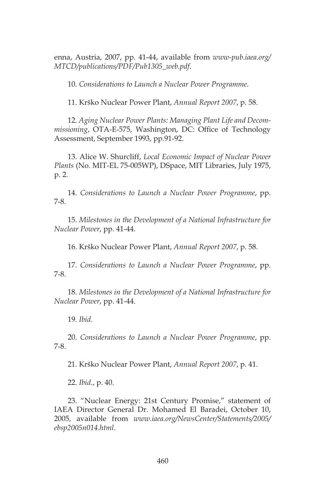enna, Austria, 2007, pp. 41-44, available from *www-pub.iaea.org/ MTCD/publications/PDF/Pub1305\_web.pdf*.

10. *Considerations to Launch a Nuclear Power Programme*.

11. Krško Nuclear Power Plant, *Annual Report 2007*, p. 58.

12. *Aging Nuclear Power Plants: Managing Plant Life and Decommissioning*, OTA-E-575, Washington, DC: Office of Technology Assessment, September 1993, pp.91-92.

13. Alice W. Shurcliff, *Local Economic Impact of Nuclear Power Plants* (No. MIT-EL 75-005WP), DSpace, MIT Libraries, July 1975, p. 2.

14. *Considerations to Launch a Nuclear Power Programme*, pp. 7-8.

15. *Milestones in the Development of a National Infrastructure for Nuclear Power*, pp. 41-44.

16. Krško Nuclear Power Plant, *Annual Report 2007*, p. 58.

17. *Considerations to Launch a Nuclear Power Programme*, pp. 7-8.

18. *Milestones in the Development of a National Infrastructure for Nuclear Power*, pp. 41-44.

19. *Ibid*.

20. *Considerations to Launch a Nuclear Power Programme*, pp. 7-8.

21. Krško Nuclear Power Plant, *Annual Report 2007*, p. 41.

22. *Ibid*., p. 40.

23. "Nuclear Energy: 21st Century Promise," statement of IAEA Director General Dr. Mohamed El Baradei, October 10, 2005, available from *www.iaea.org/NewsCenter/Statements/2005/ ebsp2005n014.html*.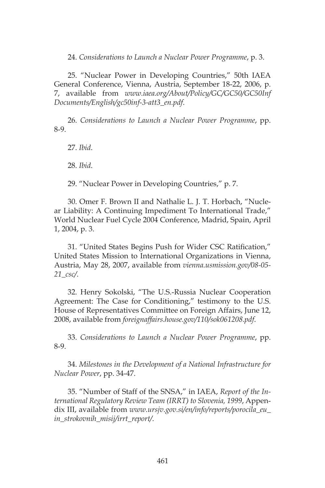24. *Considerations to Launch a Nuclear Power Programme*, p. 3.

25. "Nuclear Power in Developing Countries," 50th IAEA General Conference, Vienna, Austria, September 18-22, 2006, p. 7, available from *www.iaea.org/About/Policy/GC/GC50/GC50Inf Documents/English/gc50inf-3-att3\_en.pdf*.

26. *Considerations to Launch a Nuclear Power Programme*, pp. 8-9.

27. *Ibid*.

28. *Ibid*.

29. "Nuclear Power in Developing Countries," p. 7.

30. Omer F. Brown II and Nathalie L. J. T. Horbach, "Nuclear Liability: A Continuing Impediment To International Trade," World Nuclear Fuel Cycle 2004 Conference, Madrid, Spain, April 1, 2004, p. 3.

31. "United States Begins Push for Wider CSC Ratification," United States Mission to International Organizations in Vienna, Austria, May 28, 2007, available from *vienna.usmission.gov/08-05- 21\_csc/*.

32. Henry Sokolski, "The U.S.-Russia Nuclear Cooperation Agreement: The Case for Conditioning," testimony to the U.S. House of Representatives Committee on Foreign Affairs, June 12, 2008, available from *foreignaffairs.house.gov/110/sok061208.pdf*.

33. *Considerations to Launch a Nuclear Power Programme*, pp. 8-9.

34. *Milestones in the Development of a National Infrastructure for Nuclear Power*, pp. 34-47.

35. "Number of Staff of the SNSA," in IAEA, *Report of the International Regulatory Review Team (IRRT) to Slovenia, 1999*, Appendix III, available from *www.ursjv.gov.si/en/info/reports/porocila\_eu\_ in\_strokovnih\_misij/irrt\_report/*.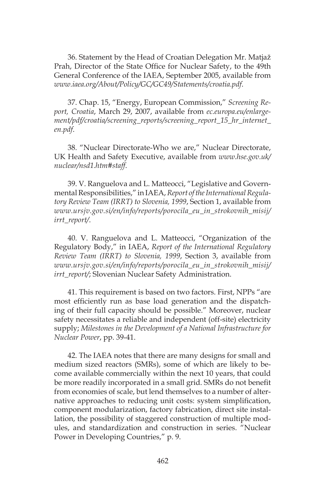36. Statement by the Head of Croatian Delegation Mr. Matjaž Prah, Director of the State Office for Nuclear Safety, to the 49th General Conference of the IAEA, September 2005, available from *www.iaea.org/About/Policy/GC/GC49/Statements/croatia.pdf*.

37. Chap. 15, "Energy, European Commission," *Screening Report, Croatia*, March 29, 2007, available from *ec.europa.eu/enlargement/pdf/croatia/screening\_reports/screening\_report\_15\_hr\_internet\_ en.pdf*.

38. "Nuclear Directorate-Who we are," Nuclear Directorate, UK Health and Safety Executive, available from *www.hse.gov.uk/ nuclear/nsd1.htm#staff*.

39. V. Ranguelova and L. Matteocci, "Legislative and Governmental Responsibilities," in IAEA, *Report of the International Regulatory Review Team (IRRT) to Slovenia, 1999*, Section 1, available from *www.ursjv.gov.si/en/info/reports/porocila\_eu\_in\_strokovnih\_misij/ irrt\_report/*.

40. V. Ranguelova and L. Matteocci, "Organization of the Regulatory Body," in IAEA, *Report of the International Regulatory Review Team (IRRT) to Slovenia, 1999*, Section 3, available from *www.ursjv.gov.si/en/info/reports/porocila\_eu\_in\_strokovnih\_misij/ irrt\_report/*; Slovenian Nuclear Safety Administration.

41. This requirement is based on two factors. First, NPPs "are most efficiently run as base load generation and the dispatching of their full capacity should be possible." Moreover, nuclear safety necessitates a reliable and independent (off-site) electricity supply; *Milestones in the Development of a National Infrastructure for Nuclear Power*, pp. 39-41.

42. The IAEA notes that there are many designs for small and medium sized reactors (SMRs), some of which are likely to become available commercially within the next 10 years, that could be more readily incorporated in a small grid. SMRs do not benefit from economies of scale, but lend themselves to a number of alternative approaches to reducing unit costs: system simplification, component modularization, factory fabrication, direct site installation, the possibility of staggered construction of multiple modules, and standardization and construction in series. "Nuclear Power in Developing Countries," p. 9.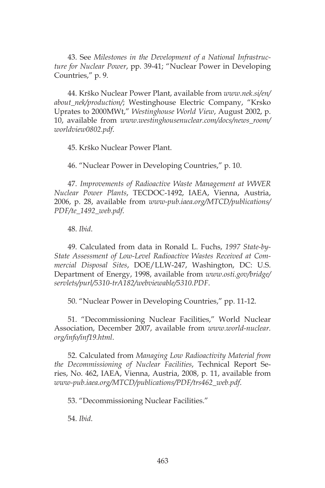43. See *Milestones in the Development of a National Infrastructure for Nuclear Power*, pp. 39-41; "Nuclear Power in Developing Countries," p. 9.

44. Krško Nuclear Power Plant, available from *www.nek.si/en/ about\_nek/production/*; Westinghouse Electric Company, "Krsko Uprates to 2000MWt," *Westinghouse World View*, August 2002, p. 10, available from *www.westinghousenuclear.com/docs/news\_room/ worldview0802.pdf*.

45. Krško Nuclear Power Plant.

46. "Nuclear Power in Developing Countries," p. 10.

47. *Improvements of Radioactive Waste Management at WWER Nuclear Power Plants*, TECDOC-1492, IAEA, Vienna, Austria, 2006, p. 28, available from *www-pub.iaea.org/MTCD/publications/ PDF/te\_1492\_web.pdf*.

48. *Ibid*.

49. Calculated from data in Ronald L. Fuchs, *1997 State-by-State Assessment of Low-Level Radioactive Wastes Received at Commercial Disposal Sites*, DOE/LLW-247, Washington, DC: U.S. Department of Energy, 1998, available from *www.osti.gov/bridge/ servlets/purl/5310-trA182/webviewable/5310.PDF*.

50. "Nuclear Power in Developing Countries," pp. 11-12.

51. "Decommissioning Nuclear Facilities," World Nuclear Association, December 2007, available from *www.world-nuclear. org/info/inf19.html*.

52. Calculated from *Managing Low Radioactivity Material from the Decommissioning of Nuclear Facilities*, Technical Report Series, No. 462, IAEA, Vienna, Austria, 2008, p. 11, available from *www-pub.iaea.org/MTCD/publications/PDF/trs462\_web.pdf*.

53. "Decommissioning Nuclear Facilities."

54. *Ibid*.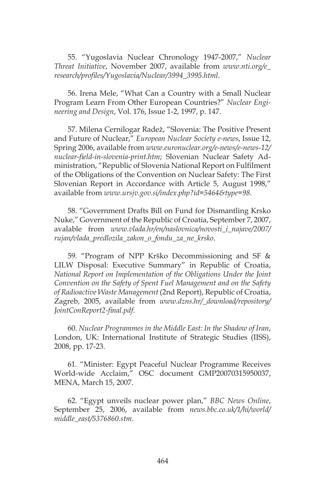55. "Yugoslavia Nuclear Chronology 1947-2007," *Nuclear Threat Initiative*, November 2007, available from *www.nti.org/e\_ research/profiles/Yugoslavia/Nuclear/3994\_3995.html*.

56. Irena Mele, "What Can a Country with a Small Nuclear Program Learn From Other European Countries?" *Nuclear Engineering and Design*, Vol. 176, Issue 1-2, 1997, p. 147.

57. Milena Cernilogar Radež, "Slovenia: The Positive Present and Future of Nuclear," *European Nuclear Society e-news*, Issue 12, Spring 2006, available from *www.euronuclear.org/e-news/e-news-12/ nuclear-field-in-slovenia-print.htm*; Slovenian Nuclear Safety Administration, "Republic of Slovenia National Report on Fulfilment of the Obligations of the Convention on Nuclear Safety: The First Slovenian Report in Accordance with Article 5, August 1998," available from *www.ursjv.gov.si/index.php?id=5464&type=98*.

58. "Government Drafts Bill on Fund for Dismantling Krsko Nuke," Government of the Republic of Croatia, September 7, 2007, avalable from *www.vlada.hr/en/naslovnica/novosti\_i\_najave/2007/ rujan/vlada\_predlozila\_zakon\_o\_fondu\_za\_ne\_krsko*.

59. "Program of NPP Krško Decommissioning and SF & LILW Disposal: Executive Summary" in Republic of Croatia, *National Report on Implementation of the Obligations Under the Joint Convention on the Safety of Spent Fuel Management and on the Safety of Radioactive Waste Management* (2nd Report), Republic of Croatia, Zagreb, 2005, available from *www.dzns.hr/\_download/repository/ JointConReport2-final.pdf*.

60. *Nuclear Programmes in the Middle East: In the Shadow of Iran*, London, UK: International Institute of Strategic Studies (IISS), 2008, pp. 17-23.

61. "Minister: Egypt Peaceful Nuclear Programme Receives World-wide Acclaim," OSC document GMP20070315950037, MENA, March 15, 2007.

62. "Egypt unveils nuclear power plan," *BBC News Online*, September 25, 2006, available from *news.bbc.co.uk/1/hi/world/ middle\_east/5376860.stm*.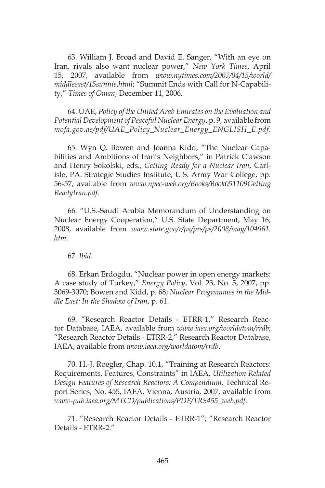63. William J. Broad and David E. Sanger, "With an eye on Iran, rivals also want nuclear power," *New York Times*, April 15, 2007, available from *www.nytimes.com/2007/04/15/world/ middleeast/15sunnis.html*; "Summit Ends with Call for N-Capability," *Times of Oman*, December 11, 2006.

64. UAE, *Policy of the United Arab Emirates on the Evaluation and Potential Development of Peaceful Nuclear Energy*, p. 9, available from *mofa.gov.ae/pdf/UAE\_Policy\_Nuclear\_Energy\_ENGLISH\_E.pdf*.

65. Wyn Q. Bowen and Joanna Kidd, "The Nuclear Capabilities and Ambitions of Iran's Neighbors," in Patrick Clawson and Henry Sokolski, eds., *Getting Ready for a Nuclear Iran*, Carlisle, PA: Strategic Studies Institute, U.S. Army War College, pp. 56-57, available from *www.npec-web.org/Books/Book051109Getting ReadyIran.pdf*.

66. "U.S.-Saudi Arabia Memorandum of Understanding on Nuclear Energy Cooperation," U.S. State Department, May 16, 2008, available from *www.state.gov/r/pa/prs/ps/2008/may/104961. htm*.

67. *Ibid*.

68. Erkan Erdogdu, "Nuclear power in open energy markets: A case study of Turkey," *Energy Policy*, Vol. 23, No. 5, 2007, pp. 3069-3070; Bowen and Kidd, p. 68; *Nuclear Programmes in the Middle East: In the Shadow of Iran*, p. 61.

69. "Research Reactor Details - ETRR-1," Research Reactor Database, IAEA, available from *www.iaea.org/worldatom/rrdb*; "Research Reactor Details - ETRR-2," Research Reactor Database, IAEA, available from *www.iaea.org/worldatom/rrdb*.

70. H.-J. Roegler, Chap. 10.1, "Training at Research Reactors: Requirements, Features, Constraints" in IAEA, *Utilization Related Design Features of Research Reactors: A Compendium*, Technical Report Series, No. 455, IAEA, Vienna, Austria, 2007, available from *www-pub.iaea.org/MTCD/publications/PDF/TRS455\_web.pdf*.

71. "Research Reactor Details - ETRR-1"; "Research Reactor Details - ETRR-2."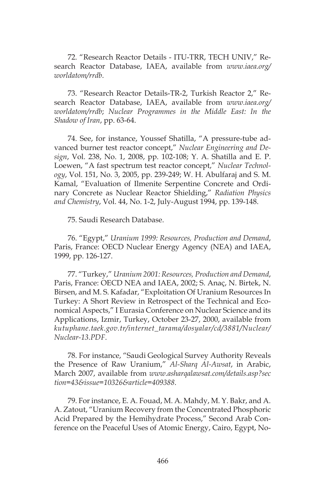72. "Research Reactor Details - ITU-TRR, TECH UNIV," Research Reactor Database, IAEA, available from *www.iaea.org/ worldatom/rrdb*.

73. "Research Reactor Details-TR-2, Turkish Reactor 2," Research Reactor Database, IAEA, available from *www.iaea.org/ worldatom/rrdb*; *Nuclear Programmes in the Middle East: In the Shadow of Iran*, pp. 63-64.

74. See, for instance, Youssef Shatilla, "A pressure-tube advanced burner test reactor concept," *Nuclear Engineering and Design*, Vol. 238, No. 1, 2008, pp. 102-108; Y. A. Shatilla and E. P. Loewen, "A fast spectrum test reactor concept," *Nuclear Technology*, Vol. 151, No. 3, 2005, pp. 239-249; W. H. Abulfaraj and S. M. Kamal, "Evaluation of Ilmenite Serpentine Concrete and Ordinary Concrete as Nuclear Reactor Shielding," *Radiation Physics and Chemistry*, Vol. 44, No. 1-2, July-August 1994, pp. 139-148.

75. Saudi Research Database.

76. "Egypt," *Uranium 1999: Resources, Production and Demand*, Paris, France: OECD Nuclear Energy Agency (NEA) and IAEA, 1999, pp. 126-127.

77. "Turkey," *Uranium 2001: Resources, Production and Demand*, Paris, France: OECD NEA and IAEA, 2002; S. Anaç, N. Birtek, N. Birsen, and M. S. Kafadar, "Exploitation Of Uranium Resources In Turkey: A Short Review in Retrospect of the Technical and Economical Aspects," I Eurasia Conference on Nuclear Science and its Applications, Izmir, Turkey, October 23-27, 2000, available from *kutuphane.taek.gov.tr/internet\_tarama/dosyalar/cd/3881/Nuclear/ Nuclear-13.PDF*.

78. For instance, "Saudi Geological Survey Authority Reveals the Presence of Raw Uranium," *Al-Sharq Al-Awsat*, in Arabic, March 2007, available from *www.asharqalawsat.com/details.asp?sec tion=43&issue=10326&article=409388*.

79. For instance, E. A. Fouad, M. A. Mahdy, M. Y. Bakr, and A. A. Zatout, "Uranium Recovery from the Concentrated Phosphoric Acid Prepared by the Hemihydrate Process," Second Arab Conference on the Peaceful Uses of Atomic Energy, Cairo, Egypt, No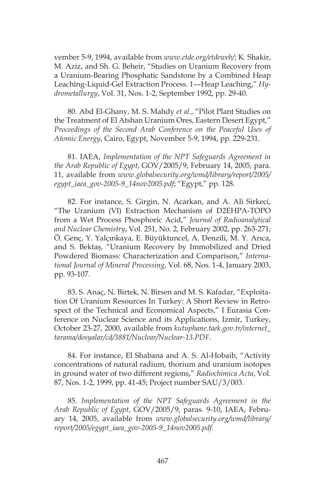vember 5-9, 1994, available from *www.etde.org/etdeweb/*; K. Shakir, M. Aziz, and Sh. G. Beheir, "Studies on Uranium Recovery from a Uranium-Bearing Phosphatic Sandstone by a Combined Heap Leaching-Liquid-Gel Extraction Process. 1––Heap Leaching," *Hydrometallurgy*, Vol. 31, Nos. 1-2, September 1992, pp. 29-40.

80. Abd El-Ghany, M. S. Mahdy *et al*., "Pilot Plant Studies on the Treatment of El Atshan Uranium Ores, Eastern Desert Egypt," Proceedings of the Second Arab Conference on the Peaceful Uses of *Atomic Energy*, Cairo, Egypt, November 5-9, 1994, pp. 229-231.

81. IAEA, *Implementation of the NPT Safeguards Agreement in the Arab Republic of Egypt*, GOV/2005/9, February 14, 2005, para. 11, available from *www.globalsecurity.org/wmd/library/report/2005/ egypt\_iaea\_gov-2005-9\_14nov2005.pdf*; "Egypt," pp. 128.

82. For instance, S. Girgin, N. Acarkan, and A. Ali Sirkeci, "The Uranium (VI) Extraction Mechanism of D2EHPA-TOPO from a Wet Process Phosphoric Acid," *Journal of Radioanalytical and Nuclear Chemistry*, Vol. 251, No. 2, February 2002, pp. 263-271; Ö. Genç, Y. Yalçınkaya, E. Büyüktuncel, A. Denzili, M. Y. Arıca, and S. Bektaş, "Uranium Recovery by Immobilized and Dried Powdered Biomass: Characterization and Comparison," *International Journal of Mineral Processing*, Vol. 68, Nos. 1-4, January 2003, pp. 93-107.

83. S. Anaç, N. Birtek, N. Birsen and M. S. Kafadar, "Exploitation Of Uranium Resources In Turkey: A Short Review in Retrospect of the Technical and Economical Aspects," I Eurasia Conference on Nuclear Science and its Applications, Izmir, Turkey, October 23-27, 2000, available from *kutuphane.taek.gov.tr/internet\_ tarama/dosyalar/cd/3881/Nuclear/Nuclear-13.PDF*.

84. For instance, El Shabana and A. S. Al-Hobaib, "Activity concentrations of natural radium, thorium and uranium isotopes in ground water of two different regions," *Radiochimica Acta*, Vol. 87, Nos. 1-2, 1999, pp. 41-45; Project number SAU/3/003.

85. *Implementation of the NPT Safeguards Agreement in the Arab Republic of Egypt*, GOV/2005/9, paras. 9-10, IAEA, February 14, 2005, available from *www.globalsecurity.org/wmd/library/ report/2005/egypt\_iaea\_gov-2005-9\_14nov2005.pdf*.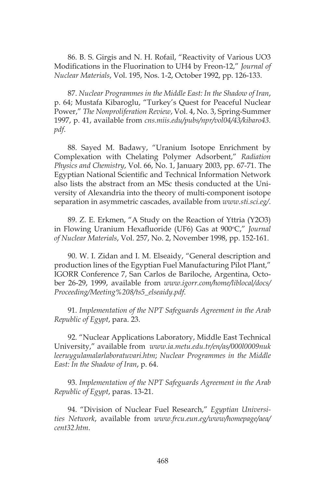86. B. S. Girgis and N. H. Rofail, "Reactivity of Various UO3 Modifications in the Fluorination to UH4 by Freon-12," *Journal of Nuclear Materials*, Vol. 195, Nos. 1-2, October 1992, pp. 126-133.

87. *Nuclear Programmes in the Middle East: In the Shadow of Iran*, p. 64; Mustafa Kibaroglu, "Turkey's Quest for Peaceful Nuclear Power," *The Nonproliferation Review*, Vol. 4, No. 3, Spring-Summer 1997, p. 41, available from *cns.miis.edu/pubs/npr/vol04/43/kibaro43. pdf*.

88. Sayed M. Badawy, "Uranium Isotope Enrichment by Complexation with Chelating Polymer Adsorbent," *Radiation Physics and Chemistry*, Vol. 66, No. 1, January 2003, pp. 67-71. The Egyptian National Scientific and Technical Information Network also lists the abstract from an MSc thesis conducted at the University of Alexandria into the theory of multi-component isotope separation in asymmetric cascades, available from *www.sti.sci.eg/*.

89. Z. E. Erkmen, "A Study on the Reaction of Yttria (Y2O3) in Flowing Uranium Hexafluoride (UF6) Gas at 900°C," Journal *of Nuclear Materials*, Vol. 257, No. 2, November 1998, pp. 152-161.

90. W. I. Zidan and I. M. Elseaidy, "General description and production lines of the Egyptian Fuel Manufacturing Pilot Plant," IGORR Conference 7, San Carlos de Bariloche, Argentina, October 26-29, 1999, available from *www.igorr.com/home/liblocal/docs/ Proceeding/Meeting%208/ts5\_elseaidy.pdf*.

91. *Implementation of the NPT Safeguards Agreement in the Arab Republic of Egypt*, para. 23.

92. "Nuclear Applications Laboratory, Middle East Technical University," available from *www.ia.metu.edu.tr/en/as/000l0009nuk leeruygulamalarlaboratuvari.htm*; *Nuclear Programmes in the Middle East: In the Shadow of Iran*, p. 64.

93. *Implementation of the NPT Safeguards Agreement in the Arab Republic of Egypt*, paras. 13-21.

94. "Division of Nuclear Fuel Research," *Egyptian Universities Network*, available from *www.frcu.eun.eg/www/homepage/aea/ cent32.htm*.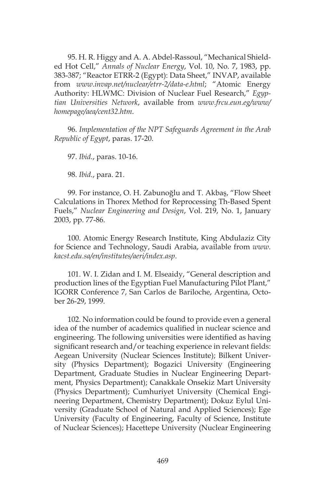95. H. R. Higgy and A. A. Abdel-Rassoul, "Mechanical Shielded Hot Cell," *Annals of Nuclear Energy*, Vol. 10, No. 7, 1983, pp. 383-387; "Reactor ETRR-2 (Egypt): Data Sheet," INVAP, available from *www.invap.net/nuclear/etrr-2/data-e.html*; "Atomic Energy Authority: HLWMC: Division of Nuclear Fuel Research," *Egyptian Universities Network*, available from *www.frcu.eun.eg/www/ homepage/aea/cent32.htm*.

96. *Implementation of the NPT Safeguards Agreement in the Arab Republic of Egypt*, paras. 17-20.

97. *Ibid*., paras. 10-16.

98. *Ibid*., para. 21.

99. For instance, O. H. Zabunoğlu and T. Akbaş, "Flow Sheet Calculations in Thorex Method for Reprocessing Th-Based Spent Fuels," *Nuclear Engineering and Design*, Vol. 219, No. 1, January 2003, pp. 77-86.

100. Atomic Energy Research Institute, King Abdulaziz City for Science and Technology, Saudi Arabia, available from *www. kacst.edu.sa/en/institutes/aeri/index.asp*.

101. W. I. Zidan and I. M. Elseaidy, "General description and production lines of the Egyptian Fuel Manufacturing Pilot Plant," IGORR Conference 7, San Carlos de Bariloche, Argentina, October 26-29, 1999.

102. No information could be found to provide even a general idea of the number of academics qualified in nuclear science and engineering. The following universities were identified as having significant research and/or teaching experience in relevant fields: Aegean University (Nuclear Sciences Institute); Bilkent University (Physics Department); Bogazici University (Engineering Department, Graduate Studies in Nuclear Engineering Department, Physics Department); Canakkale Onsekiz Mart University (Physics Department); Cumhuriyet University (Chemical Engineering Department, Chemistry Department); Dokuz Eylul University (Graduate School of Natural and Applied Sciences); Ege University (Faculty of Engineering, Faculty of Science, Institute of Nuclear Sciences); Hacettepe University (Nuclear Engineering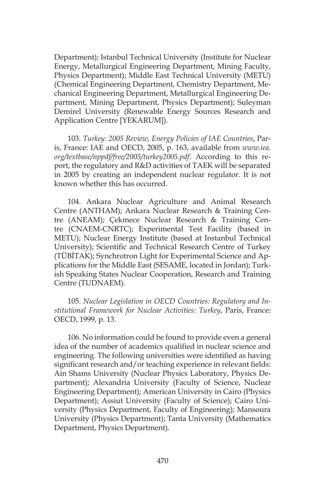Department); Istanbul Technical University (Institute for Nuclear Energy, Metallurgical Engineering Department, Mining Faculty, Physics Department); Middle East Technical University (METU) (Chemical Engineering Department, Chemistry Department, Mechanical Engineering Department, Metallurgical Engineering Department, Mining Department, Physics Department); Suleyman Demirel University (Renewable Energy Sources Research and Application Centre [YEKARUM]).

103. *Turkey: 2005 Review, Energy Policies of IAE Countries*, Paris, France: IAE and OECD, 2005, p. 163, available from *www.iea. org/textbase/nppdf/free/2005/turkey2005.pdf*. According to this report, the regulatory and R&D activities of TAEK will be separated in 2005 by creating an independent nuclear regulator. It is not known whether this has occurred.

104. Ankara Nuclear Agriculture and Animal Research Centre (ANTHAM); Ankara Nuclear Research & Training Centre (ANEAM); Çekmece Nuclear Research & Training Centre (CNAEM-CNRTC); Experimental Test Facility (based in METU); Nuclear Energy Institute (based at Instanbul Technical University); Scientific and Technical Research Centre of Turkey (TÜBİTAK); Synchrotron Light for Experimental Science and Applications for the Middle East (SESAME, located in Jordan); Turkish Speaking States Nuclear Cooperation, Research and Training Centre (TUDNAEM).

105. *Nuclear Legislation in OECD Countries: Regulatory and Institutional Framework for Nuclear Activities: Turkey*, Paris, France: OECD, 1999, p. 13.

106. No information could be found to provide even a general idea of the number of academics qualified in nuclear science and engineering. The following universities were identified as having significant research and/or teaching experience in relevant fields: Ain Shams University (Nuclear Physics Laboratory, Physics Department); Alexandria University (Faculty of Science, Nuclear Engineering Department); American University in Cairo (Physics Department); Assiut University (Faculty of Science); Cairo University (Physics Department, Faculty of Engineering); Mansoura University (Physics Department); Tanta University (Mathematics Department, Physics Department).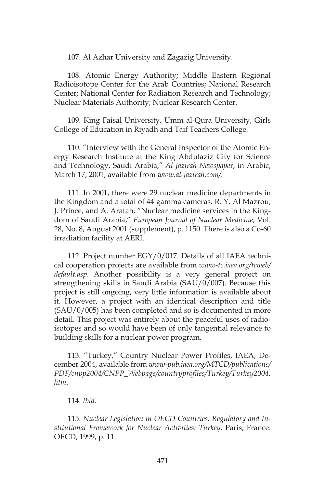107. Al Azhar University and Zagazig University.

108. Atomic Energy Authority; Middle Eastern Regional Radioisotope Center for the Arab Countries; National Research Center; National Center for Radiation Research and Technology; Nuclear Materials Authority; Nuclear Research Center.

109. King Faisal University, Umm al-Qura University, Girls College of Education in Riyadh and Taif Teachers College.

110. "Interview with the General Inspector of the Atomic Energy Research Institute at the King Abdulaziz City for Science and Technology, Saudi Arabia," *Al-Jazirah Newspape*r, in Arabic, March 17, 2001, available from *www.al-jazirah.com/*.

111. In 2001, there were 29 nuclear medicine departments in the Kingdom and a total of 44 gamma cameras. R. Y. Al Mazrou, J. Prince, and A. Arafah, "Nuclear medicine services in the Kingdom of Saudi Arabia," *European Journal of Nuclear Medicine*, Vol. 28, No. 8, August 2001 (supplement), p. 1150. There is also a Co-60 irradiation facility at AERI.

112. Project number EGY/0/017. Details of all IAEA technical cooperation projects are available from *www-tc.iaea.org/tcweb/ default.asp*. Another possibility is a very general project on strengthening skills in Saudi Arabia (SAU/0/007). Because this project is still ongoing, very little information is available about it. However, a project with an identical description and title (SAU/0/005) has been completed and so is documented in more detail. This project was entirely about the peaceful uses of radioisotopes and so would have been of only tangential relevance to building skills for a nuclear power program.

113. "Turkey," Country Nuclear Power Profiles, IAEA, December 2004, available from *www-pub.iaea.org/MTCD/publications/ PDF/cnpp2004/CNPP\_Webpage/countryprofiles/Turkey/Turkey2004. htm*.

#### 114. *Ibid*.

115. *Nuclear Legislation in OECD Countries: Regulatory and Institutional Framework for Nuclear Activities: Turkey*, Paris, France: OECD, 1999, p. 11.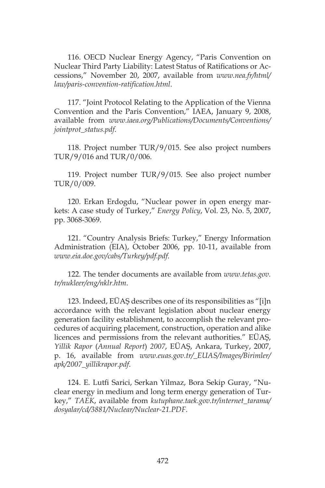116. OECD Nuclear Energy Agency, "Paris Convention on Nuclear Third Party Liability: Latest Status of Ratifications or Accessions," November 20, 2007, available from *www.nea.fr/html/ law/paris-convention-ratification.html*.

117. "Joint Protocol Relating to the Application of the Vienna Convention and the Paris Convention," IAEA, January 9, 2008, available from *www.iaea.org/Publications/Documents/Conventions/ jointprot\_status.pdf*.

118. Project number TUR/9/015. See also project numbers TUR/9/016 and TUR/0/006.

119. Project number TUR/9/015. See also project number TUR/0/009.

120. Erkan Erdogdu, "Nuclear power in open energy markets: A case study of Turkey," *Energy Policy*, Vol. 23, No. 5, 2007, pp. 3068-3069.

121. "Country Analysis Briefs: Turkey," Energy Information Administration (EIA), October 2006, pp. 10-11, available from *www.eia.doe.gov/cabs/Turkey/pdf.pdf*.

122. The tender documents are available from *www.tetas.gov. tr/nukleer/eng/nklr.htm*.

123. Indeed, EÜAŞ describes one of its responsibilities as "[i]n accordance with the relevant legislation about nuclear energy generation facility establishment, to accomplish the relevant procedures of acquiring placement, construction, operation and alike licences and permissions from the relevant authorities." EÜAŞ, *Yillik Rapor* (*Annual Report*) *2007*, EÜAŞ, Ankara, Turkey, 2007, p. 16, available from *www.euas.gov.tr/\_EUAS/Images/Birimler/ apk/2007\_yillikrapor.pdf*.

124. E. Lutfi Sarici, Serkan Yilmaz, Bora Sekip Guray, "Nuclear energy in medium and long term energy generation of Turkey," *TAEK*, available from *kutuphane.taek.gov.tr/internet\_tarama/ dosyalar/cd/3881/Nuclear/Nuclear-21.PDF*.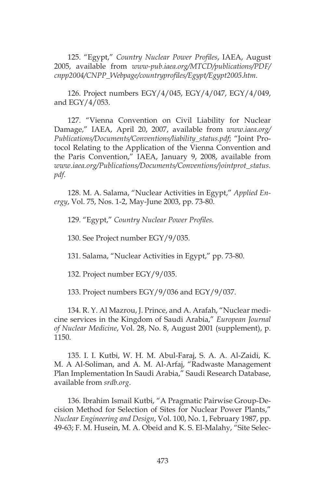125. "Egypt," *Country Nuclear Power Profiles*, IAEA, August 2005, available from *www-pub.iaea.org/MTCD/publications/PDF/ cnpp2004/CNPP\_Webpage/countryprofiles/Egypt/Egypt2005.htm*.

126. Project numbers EGY/4/045, EGY/4/047, EGY/4/049, and  $EGY/4/053$ .

127. "Vienna Convention on Civil Liability for Nuclear Damage," IAEA, April 20, 2007, available from *www.iaea.org/ Publications/Documents/Conventions/liability\_status.pdf*; "Joint Protocol Relating to the Application of the Vienna Convention and the Paris Convention," IAEA, January 9, 2008, available from *www.iaea.org/Publications/Documents/Conventions/jointprot\_status. pdf*.

128. M. A. Salama, "Nuclear Activities in Egypt," *Applied Energy*, Vol. 75, Nos. 1-2, May-June 2003, pp. 73-80.

129. "Egypt," *Country Nuclear Power Profiles*.

130. See Project number EGY/9/035.

131. Salama, "Nuclear Activities in Egypt," pp. 73-80.

132. Project number EGY/9/035.

133. Project numbers EGY/9/036 and EGY/9/037.

134. R. Y. Al Mazrou, J. Prince, and A. Arafah, "Nuclear medicine services in the Kingdom of Saudi Arabia," *European Journal of Nuclear Medicine*, Vol. 28, No. 8, August 2001 (supplement), p. 1150.

135. I. I. Kutbi, W. H. M. Abul-Faraj, S. A. A. Al-Zaidi, K. M. A Al-Soliman, and A. M. Al-Arfaj, "Radwaste Management Plan Implementation In Saudi Arabia," Saudi Research Database, available from *srdb.org*.

136. Ibrahim Ismail Kutbi, "A Pragmatic Pairwise Group-Decision Method for Selection of Sites for Nuclear Power Plants," *Nuclear Engineering and Design*, Vol. 100, No. 1, February 1987, pp. 49-63; F. M. Husein, M. A. Obeid and K. S. El-Malahy, "Site Selec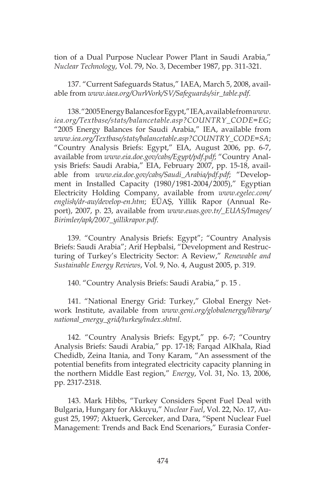tion of a Dual Purpose Nuclear Power Plant in Saudi Arabia," *Nuclear Technology*, Vol. 79, No. 3, December 1987, pp. 311-321.

137. "Current Safeguards Status," IAEA, March 5, 2008, available from *www.iaea.org/OurWork/SV/Safeguards/sir\_table.pdf*.

138. "2005 Energy Balances for Egypt," IEA, available from *www. iea.org/Textbase/stats/balancetable.asp?COUNTRY\_CODE=EG*; "2005 Energy Balances for Saudi Arabia," IEA, available from *www.iea.org/Textbase/stats/balancetable.asp?COUNTRY\_CODE=SA*; "Country Analysis Briefs: Egypt," EIA, August 2006, pp. 6-7, available from *www.eia.doe.gov/cabs/Egypt/pdf.pdf*; "Country Analysis Briefs: Saudi Arabia," EIA, February 2007, pp. 15-18, available from *www.eia.doe.gov/cabs/Saudi\_Arabia/pdf.pdf*; "Development in Installed Capacity (1980/1981-2004/2005)," Egyptian Electricity Holding Company, available from *www.egelec.com/ english/dr-aw/develop-en.htm*; EÜAŞ, Yillik Rapor (Annual Report), 2007, p. 23, available from *www.euas.gov.tr/\_EUAS/Images/ Birimler/apk/2007\_yillikrapor.pdf*.

139. "Country Analysis Briefs: Egypt"; "Country Analysis Briefs: Saudi Arabia"; Arif Hepbalsi, "Development and Restructuring of Turkey's Electricity Sector: A Review," *Renewable and Sustainable Energy Reviews*, Vol. 9, No. 4, August 2005, p. 319.

140. "Country Analysis Briefs: Saudi Arabia," p. 15 .

141. "National Energy Grid: Turkey," Global Energy Network Institute, available from *www.geni.org/globalenergy/library/ national\_energy\_grid/turkey/index.shtml*.

142. "Country Analysis Briefs: Egypt," pp. 6-7; "Country Analysis Briefs: Saudi Arabia," pp. 17-18; Farqad AlKhala, Riad Chedidb, Zeina Itania, and Tony Karam, "An assessment of the potential benefits from integrated electricity capacity planning in the northern Middle East region," *Energy*, Vol. 31, No. 13, 2006, pp. 2317-2318.

143. Mark Hibbs, "Turkey Considers Spent Fuel Deal with Bulgaria, Hungary for Akkuyu," *Nuclear Fuel*, Vol. 22, No. 17, August 25, 1997; Aktuerk, Gerceker, and Dara, "Spent Nuclear Fuel Management: Trends and Back End Scenariors," Eurasia Confer-